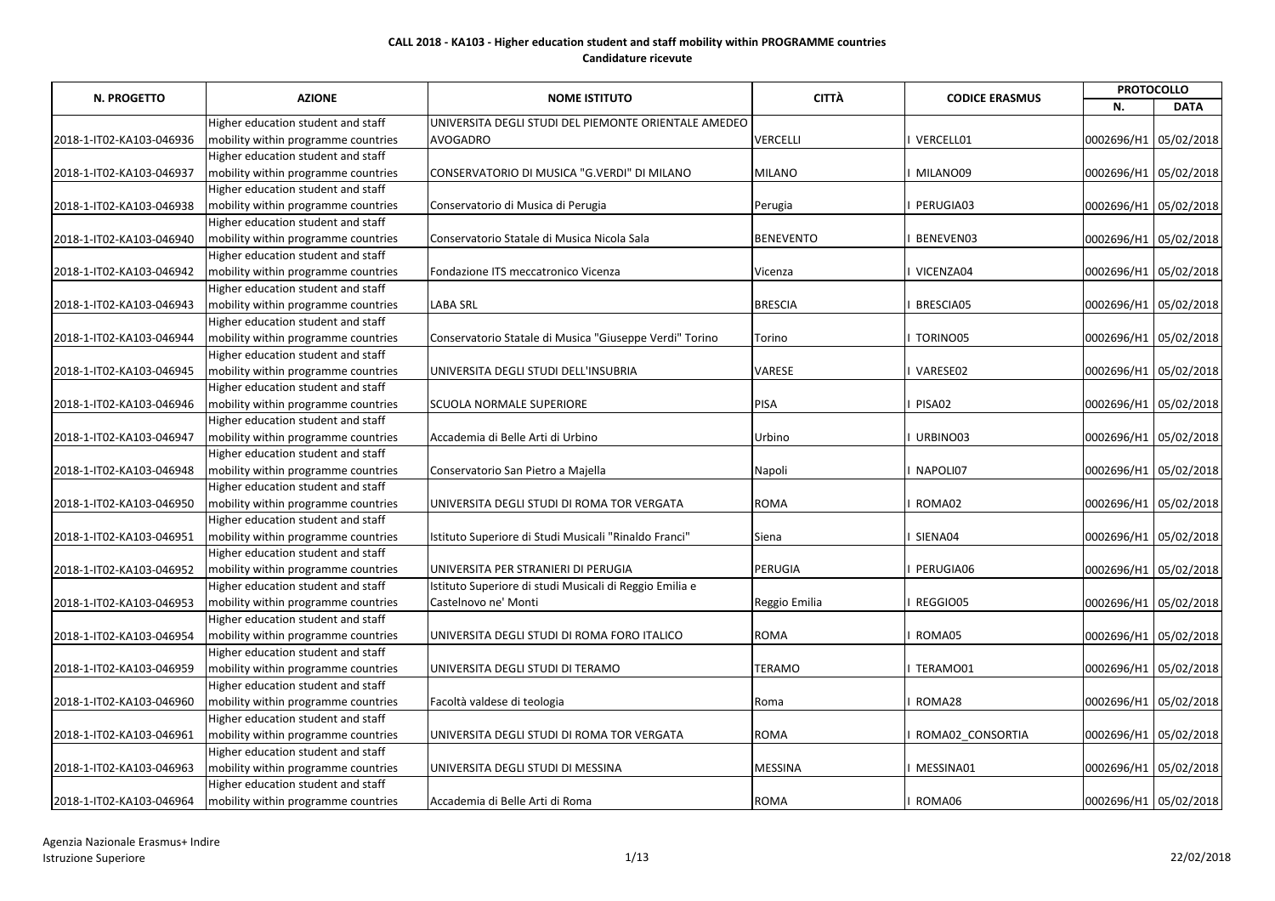|                          | <b>AZIONE</b>                       |                                                         | <b>CITTÀ</b>    | <b>CODICE ERASMUS</b> | <b>PROTOCOLLO</b>     |             |
|--------------------------|-------------------------------------|---------------------------------------------------------|-----------------|-----------------------|-----------------------|-------------|
| N. PROGETTO              |                                     | <b>NOME ISTITUTO</b>                                    |                 |                       | N.                    | <b>DATA</b> |
|                          | Higher education student and staff  | UNIVERSITA DEGLI STUDI DEL PIEMONTE ORIENTALE AMEDEO    |                 |                       |                       |             |
| 2018-1-IT02-KA103-046936 | mobility within programme countries | <b>AVOGADRO</b>                                         | <b>VERCELLI</b> | VERCELL01             | 0002696/H1 05/02/2018 |             |
|                          | Higher education student and staff  |                                                         |                 |                       |                       |             |
| 2018-1-IT02-KA103-046937 | mobility within programme countries | CONSERVATORIO DI MUSICA "G.VERDI" DI MILANO             | <b>MILANO</b>   | MILANO09              | 0002696/H1 05/02/2018 |             |
|                          | Higher education student and staff  |                                                         |                 |                       |                       |             |
| 2018-1-IT02-KA103-046938 | mobility within programme countries | Conservatorio di Musica di Perugia                      | Perugia         | PERUGIA03             | 0002696/H1 05/02/2018 |             |
|                          | Higher education student and staff  |                                                         |                 |                       |                       |             |
| 2018-1-IT02-KA103-046940 | mobility within programme countries | Conservatorio Statale di Musica Nicola Sala             | BENEVENTO       | BENEVEN03             | 0002696/H1 05/02/2018 |             |
|                          | Higher education student and staff  |                                                         |                 |                       |                       |             |
| 2018-1-IT02-KA103-046942 | mobility within programme countries | Fondazione ITS meccatronico Vicenza                     | Vicenza         | VICENZA04             | 0002696/H1 05/02/2018 |             |
|                          | Higher education student and staff  |                                                         |                 |                       |                       |             |
| 2018-1-IT02-KA103-046943 | mobility within programme countries | <b>LABA SRL</b>                                         | <b>BRESCIA</b>  | BRESCIA05             | 0002696/H1 05/02/2018 |             |
|                          | Higher education student and staff  |                                                         |                 |                       |                       |             |
| 2018-1-IT02-KA103-046944 | mobility within programme countries | Conservatorio Statale di Musica "Giuseppe Verdi" Torino | Torino          | TORINO05              | 0002696/H1 05/02/2018 |             |
|                          | Higher education student and staff  |                                                         |                 |                       |                       |             |
| 2018-1-IT02-KA103-046945 | mobility within programme countries | UNIVERSITA DEGLI STUDI DELL'INSUBRIA                    | <b>VARESE</b>   | VARESE02              | 0002696/H1 05/02/2018 |             |
|                          | Higher education student and staff  |                                                         |                 |                       |                       |             |
| 2018-1-IT02-KA103-046946 | mobility within programme countries | <b>SCUOLA NORMALE SUPERIORE</b>                         | PISA            | PISA02                | 0002696/H1 05/02/2018 |             |
|                          | Higher education student and staff  |                                                         |                 |                       |                       |             |
| 2018-1-IT02-KA103-046947 | mobility within programme countries | Accademia di Belle Arti di Urbino                       | Urbino          | URBINO03              | 0002696/H1 05/02/2018 |             |
|                          | Higher education student and staff  |                                                         |                 |                       |                       |             |
| 2018-1-IT02-KA103-046948 | mobility within programme countries | Conservatorio San Pietro a Majella                      | Napoli          | NAPOLI07              | 0002696/H1 05/02/2018 |             |
|                          | Higher education student and staff  |                                                         |                 |                       |                       |             |
| 2018-1-IT02-KA103-046950 | mobility within programme countries | UNIVERSITA DEGLI STUDI DI ROMA TOR VERGATA              | <b>ROMA</b>     | ROMA02                | 0002696/H1 05/02/2018 |             |
|                          | Higher education student and staff  |                                                         |                 |                       |                       |             |
| 2018-1-IT02-KA103-046951 | mobility within programme countries | Istituto Superiore di Studi Musicali "Rinaldo Franci"   | Siena           | SIENA04               | 0002696/H1 05/02/2018 |             |
|                          | Higher education student and staff  |                                                         |                 |                       |                       |             |
| 2018-1-IT02-KA103-046952 | mobility within programme countries | UNIVERSITA PER STRANIERI DI PERUGIA                     | PERUGIA         | PERUGIA06             | 0002696/H1 05/02/2018 |             |
|                          | Higher education student and staff  | Istituto Superiore di studi Musicali di Reggio Emilia e |                 |                       |                       |             |
| 2018-1-IT02-KA103-046953 | mobility within programme countries | Castelnovo ne' Monti                                    | Reggio Emilia   | REGGIO05              | 0002696/H1 05/02/2018 |             |
|                          | Higher education student and staff  |                                                         |                 |                       |                       |             |
| 2018-1-IT02-KA103-046954 | mobility within programme countries | UNIVERSITA DEGLI STUDI DI ROMA FORO ITALICO             | <b>ROMA</b>     | ROMA05                | 0002696/H1 05/02/2018 |             |
|                          | Higher education student and staff  |                                                         |                 |                       |                       |             |
| 2018-1-IT02-KA103-046959 | mobility within programme countries | UNIVERSITA DEGLI STUDI DI TERAMO                        | <b>TERAMO</b>   | TERAMO01              | 0002696/H1 05/02/2018 |             |
|                          | Higher education student and staff  |                                                         |                 |                       |                       |             |
| 2018-1-IT02-KA103-046960 | mobility within programme countries | Facoltà valdese di teologia                             | Roma            | ROMA28                | 0002696/H1 05/02/2018 |             |
|                          | Higher education student and staff  |                                                         |                 |                       |                       |             |
| 2018-1-IT02-KA103-046961 | mobility within programme countries | UNIVERSITA DEGLI STUDI DI ROMA TOR VERGATA              | <b>ROMA</b>     | ROMA02 CONSORTIA      | 0002696/H1 05/02/2018 |             |
|                          | Higher education student and staff  |                                                         |                 |                       |                       |             |
| 2018-1-IT02-KA103-046963 | mobility within programme countries | UNIVERSITA DEGLI STUDI DI MESSINA                       | <b>MESSINA</b>  | MESSINA01             | 0002696/H1 05/02/2018 |             |
|                          | Higher education student and staff  |                                                         |                 |                       |                       |             |
| 2018-1-IT02-KA103-046964 | mobility within programme countries | Accademia di Belle Arti di Roma                         | <b>ROMA</b>     | ROMA06                | 0002696/H1 05/02/2018 |             |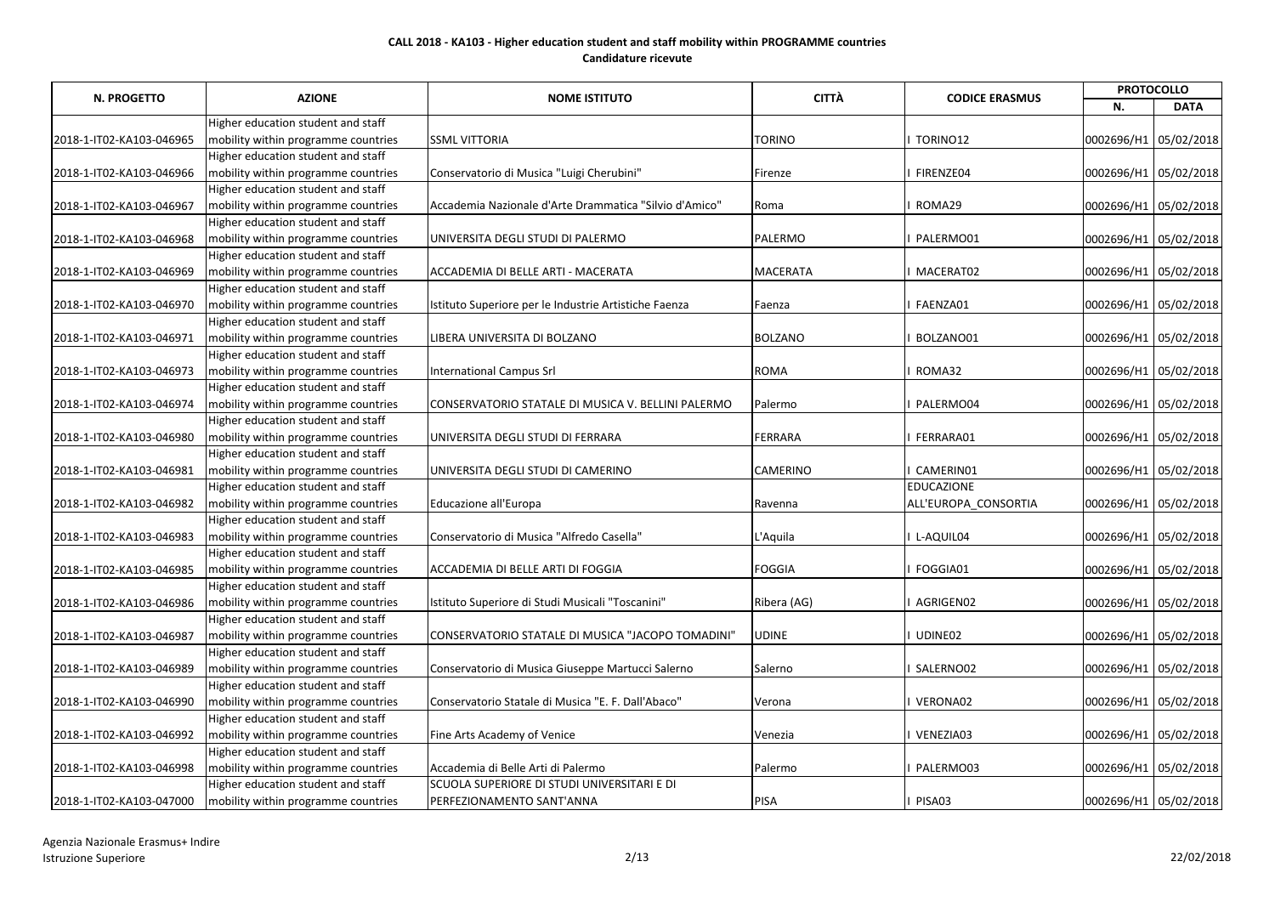|                          |                                     | <b>NOME ISTITUTO</b>                                   | <b>PROTOCOLLO</b><br><b>CITTÀ</b><br><b>CODICE ERASMUS</b> |                      |                       |             |
|--------------------------|-------------------------------------|--------------------------------------------------------|------------------------------------------------------------|----------------------|-----------------------|-------------|
| <b>N. PROGETTO</b>       | <b>AZIONE</b>                       |                                                        |                                                            |                      | N.                    | <b>DATA</b> |
|                          | Higher education student and staff  |                                                        |                                                            |                      |                       |             |
| 2018-1-IT02-KA103-046965 | mobility within programme countries | <b>SSML VITTORIA</b>                                   | <b>TORINO</b>                                              | TORINO12             | 0002696/H1 05/02/2018 |             |
|                          | Higher education student and staff  |                                                        |                                                            |                      |                       |             |
| 2018-1-IT02-KA103-046966 | mobility within programme countries | Conservatorio di Musica "Luigi Cherubini"              | Firenze                                                    | FIRENZE04            | 0002696/H1 05/02/2018 |             |
|                          | Higher education student and staff  |                                                        |                                                            |                      |                       |             |
| 2018-1-IT02-KA103-046967 | mobility within programme countries | Accademia Nazionale d'Arte Drammatica "Silvio d'Amico" | Roma                                                       | ROMA29               | 0002696/H1 05/02/2018 |             |
|                          | Higher education student and staff  |                                                        |                                                            |                      |                       |             |
| 2018-1-IT02-KA103-046968 | mobility within programme countries | UNIVERSITA DEGLI STUDI DI PALERMO                      | PALERMO                                                    | PALERMO01            | 0002696/H1 05/02/2018 |             |
|                          | Higher education student and staff  |                                                        |                                                            |                      |                       |             |
| 2018-1-IT02-KA103-046969 | mobility within programme countries | ACCADEMIA DI BELLE ARTI - MACERATA                     | <b>MACERATA</b>                                            | MACERAT02            | 0002696/H1 05/02/2018 |             |
|                          | Higher education student and staff  |                                                        |                                                            |                      |                       |             |
| 2018-1-IT02-KA103-046970 | mobility within programme countries | Istituto Superiore per le Industrie Artistiche Faenza  | Faenza                                                     | FAENZA01             | 0002696/H1 05/02/2018 |             |
|                          | Higher education student and staff  |                                                        |                                                            |                      |                       |             |
| 2018-1-IT02-KA103-046971 | mobility within programme countries | LIBERA UNIVERSITA DI BOLZANO                           | <b>BOLZANO</b>                                             | BOLZANO01            | 0002696/H1 05/02/2018 |             |
|                          | Higher education student and staff  |                                                        |                                                            |                      |                       |             |
| 2018-1-IT02-KA103-046973 | mobility within programme countries | <b>International Campus Srl</b>                        | <b>ROMA</b>                                                | ROMA32               | 0002696/H1 05/02/2018 |             |
|                          | Higher education student and staff  |                                                        |                                                            |                      |                       |             |
| 2018-1-IT02-KA103-046974 | mobility within programme countries | CONSERVATORIO STATALE DI MUSICA V. BELLINI PALERMO     | Palermo                                                    | PALERMO04            | 0002696/H1 05/02/2018 |             |
|                          | Higher education student and staff  |                                                        |                                                            |                      |                       |             |
| 2018-1-IT02-KA103-046980 | mobility within programme countries | UNIVERSITA DEGLI STUDI DI FERRARA                      | <b>FERRARA</b>                                             | FERRARA01            | 0002696/H1 05/02/2018 |             |
|                          | Higher education student and staff  |                                                        |                                                            |                      |                       |             |
| 2018-1-IT02-KA103-046981 | mobility within programme countries | UNIVERSITA DEGLI STUDI DI CAMERINO                     | <b>CAMERINO</b>                                            | CAMERIN01            | 0002696/H1 05/02/2018 |             |
|                          | Higher education student and staff  |                                                        |                                                            | <b>EDUCAZIONE</b>    |                       |             |
| 2018-1-IT02-KA103-046982 | mobility within programme countries | Educazione all'Europa                                  | Ravenna                                                    | ALL'EUROPA_CONSORTIA | 0002696/H1 05/02/2018 |             |
|                          | Higher education student and staff  |                                                        |                                                            |                      |                       |             |
| 2018-1-IT02-KA103-046983 | mobility within programme countries | Conservatorio di Musica "Alfredo Casella"              | L'Aquila                                                   | L-AQUIL04            | 0002696/H1 05/02/2018 |             |
|                          | Higher education student and staff  |                                                        |                                                            |                      |                       |             |
| 2018-1-IT02-KA103-046985 | mobility within programme countries | ACCADEMIA DI BELLE ARTI DI FOGGIA                      | <b>FOGGIA</b>                                              | FOGGIA01             | 0002696/H1 05/02/2018 |             |
|                          | Higher education student and staff  |                                                        |                                                            |                      |                       |             |
| 2018-1-IT02-KA103-046986 | mobility within programme countries | Istituto Superiore di Studi Musicali "Toscanini"       | Ribera (AG)                                                | AGRIGEN02            | 0002696/H1 05/02/2018 |             |
|                          | Higher education student and staff  |                                                        |                                                            |                      |                       |             |
| 2018-1-IT02-KA103-046987 | mobility within programme countries | CONSERVATORIO STATALE DI MUSICA "JACOPO TOMADINI"      | <b>UDINE</b>                                               | UDINE02              | 0002696/H1 05/02/2018 |             |
|                          | Higher education student and staff  |                                                        |                                                            |                      |                       |             |
| 2018-1-IT02-KA103-046989 | mobility within programme countries | Conservatorio di Musica Giuseppe Martucci Salerno      | Salerno                                                    | SALERNO02            | 0002696/H1 05/02/2018 |             |
|                          | Higher education student and staff  |                                                        |                                                            |                      |                       |             |
| 2018-1-IT02-KA103-046990 | mobility within programme countries | Conservatorio Statale di Musica "E. F. Dall'Abaco"     | Verona                                                     | VERONA02             | 0002696/H1 05/02/2018 |             |
|                          | Higher education student and staff  |                                                        |                                                            |                      |                       |             |
| 2018-1-IT02-KA103-046992 | mobility within programme countries | Fine Arts Academy of Venice                            | Venezia                                                    | VENEZIA03            | 0002696/H1 05/02/2018 |             |
|                          | Higher education student and staff  |                                                        |                                                            |                      |                       |             |
| 2018-1-IT02-KA103-046998 | mobility within programme countries | Accademia di Belle Arti di Palermo                     | Palermo                                                    | PALERMO03            | 0002696/H1 05/02/2018 |             |
|                          | Higher education student and staff  | SCUOLA SUPERIORE DI STUDI UNIVERSITARI E DI            |                                                            |                      |                       |             |
| 2018-1-IT02-KA103-047000 | mobility within programme countries | PERFEZIONAMENTO SANT'ANNA                              | PISA                                                       | PISA03               | 0002696/H1 05/02/2018 |             |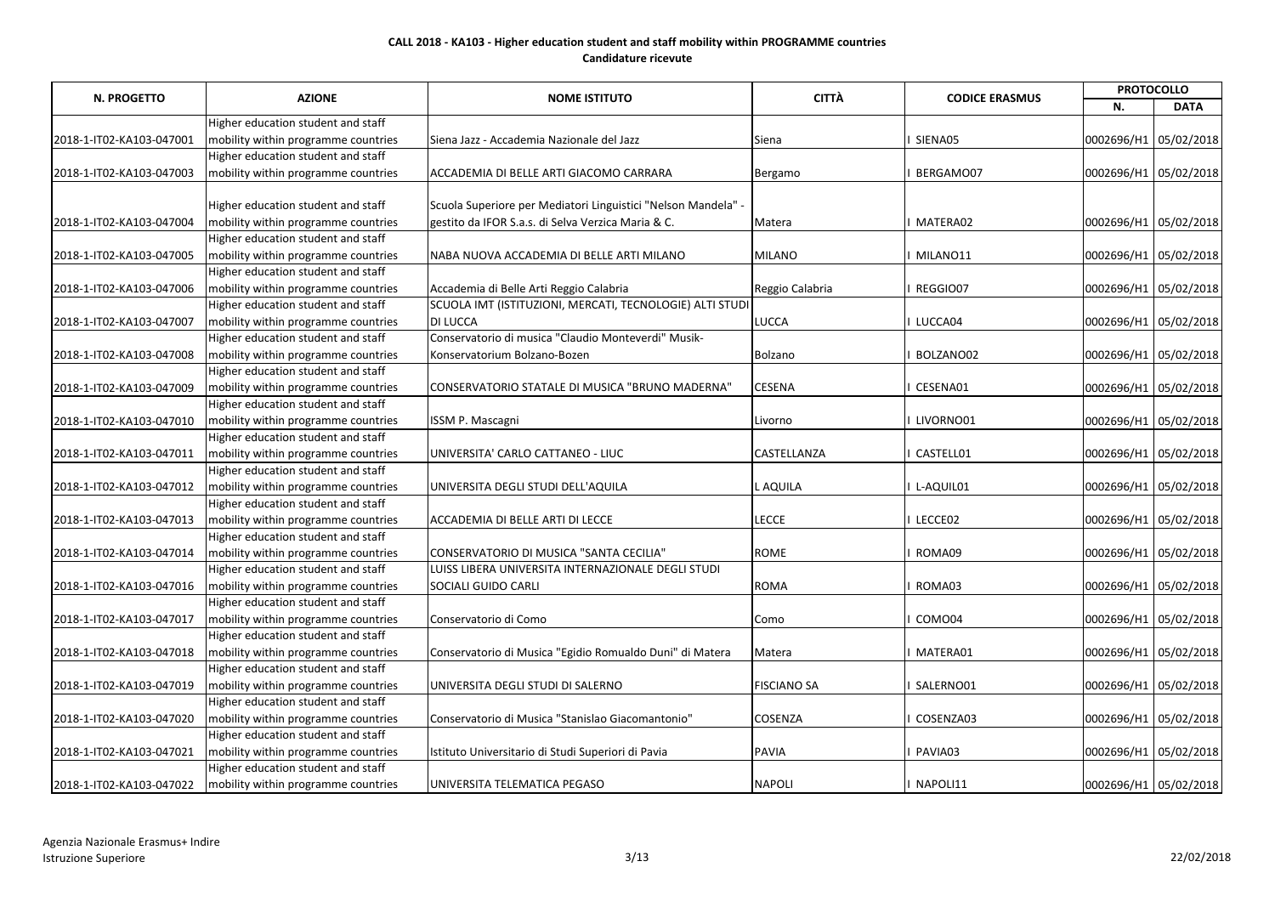|                          | <b>AZIONE</b>                       | <b>PROTOCOLLO</b><br><b>CITTÀ</b><br><b>CODICE ERASMUS</b>  |                    |           |                       |                       |
|--------------------------|-------------------------------------|-------------------------------------------------------------|--------------------|-----------|-----------------------|-----------------------|
| <b>N. PROGETTO</b>       |                                     | <b>NOME ISTITUTO</b>                                        |                    |           | N.                    | <b>DATA</b>           |
|                          | Higher education student and staff  |                                                             |                    |           |                       |                       |
| 2018-1-IT02-KA103-047001 | mobility within programme countries | Siena Jazz - Accademia Nazionale del Jazz                   | Siena              | SIENA05   | 0002696/H1 05/02/2018 |                       |
|                          | Higher education student and staff  |                                                             |                    |           |                       |                       |
| 2018-1-IT02-KA103-047003 | mobility within programme countries | ACCADEMIA DI BELLE ARTI GIACOMO CARRARA                     | Bergamo            | BERGAMO07 | 0002696/H1 05/02/2018 |                       |
|                          |                                     |                                                             |                    |           |                       |                       |
|                          | Higher education student and staff  | Scuola Superiore per Mediatori Linguistici "Nelson Mandela" |                    |           |                       |                       |
| 2018-1-IT02-KA103-047004 | mobility within programme countries | gestito da IFOR S.a.s. di Selva Verzica Maria & C.          | Matera             | MATERA02  |                       | 0002696/H1 05/02/2018 |
|                          | Higher education student and staff  |                                                             |                    |           |                       |                       |
| 2018-1-IT02-KA103-047005 | mobility within programme countries | NABA NUOVA ACCADEMIA DI BELLE ARTI MILANO                   | <b>MILANO</b>      | MILANO11  |                       | 0002696/H1 05/02/2018 |
|                          | Higher education student and staff  |                                                             |                    |           |                       |                       |
| 2018-1-IT02-KA103-047006 | mobility within programme countries | Accademia di Belle Arti Reggio Calabria                     | Reggio Calabria    | REGGIO07  | 0002696/H1 05/02/2018 |                       |
|                          | Higher education student and staff  | SCUOLA IMT (ISTITUZIONI, MERCATI, TECNOLOGIE) ALTI STUDI    |                    |           |                       |                       |
| 2018-1-IT02-KA103-047007 | mobility within programme countries | <b>DI LUCCA</b>                                             | <b>LUCCA</b>       | LUCCA04   | 0002696/H1 05/02/2018 |                       |
|                          | Higher education student and staff  | Conservatorio di musica "Claudio Monteverdi" Musik-         |                    |           |                       |                       |
| 2018-1-IT02-KA103-047008 | mobility within programme countries | Konservatorium Bolzano-Bozen                                | Bolzano            | BOLZANO02 | 0002696/H1 05/02/2018 |                       |
|                          | Higher education student and staff  |                                                             |                    |           |                       |                       |
| 2018-1-IT02-KA103-047009 | mobility within programme countries | <b>CONSERVATORIO STATALE DI MUSICA "BRUNO MADERNA"</b>      | <b>CESENA</b>      | CESENA01  |                       | 0002696/H1 05/02/2018 |
|                          | Higher education student and staff  |                                                             |                    |           |                       |                       |
| 2018-1-IT02-KA103-047010 | mobility within programme countries | <b>ISSM P. Mascagni</b>                                     | Livorno            | LIVORNO01 | 0002696/H1 05/02/2018 |                       |
|                          | Higher education student and staff  |                                                             |                    |           |                       |                       |
| 2018-1-IT02-KA103-047011 | mobility within programme countries | UNIVERSITA' CARLO CATTANEO - LIUC                           | <b>CASTELLANZA</b> | CASTELL01 | 0002696/H1 05/02/2018 |                       |
|                          | Higher education student and staff  |                                                             |                    |           |                       |                       |
| 2018-1-IT02-KA103-047012 | mobility within programme countries | UNIVERSITA DEGLI STUDI DELL'AQUILA                          | <b>LAQUILA</b>     | L-AQUIL01 | 0002696/H1 05/02/2018 |                       |
|                          | Higher education student and staff  |                                                             |                    |           |                       |                       |
| 2018-1-IT02-KA103-047013 | mobility within programme countries | ACCADEMIA DI BELLE ARTI DI LECCE                            | <b>LECCE</b>       | LECCE02   |                       | 0002696/H1 05/02/2018 |
|                          | Higher education student and staff  |                                                             |                    |           |                       |                       |
| 2018-1-IT02-KA103-047014 | mobility within programme countries | CONSERVATORIO DI MUSICA "SANTA CECILIA"                     | <b>ROME</b>        | ROMA09    | 0002696/H1 05/02/2018 |                       |
|                          | Higher education student and staff  | LUISS LIBERA UNIVERSITA INTERNAZIONALE DEGLI STUDI          |                    |           |                       |                       |
| 2018-1-IT02-KA103-047016 | mobility within programme countries | SOCIALI GUIDO CARLI                                         | <b>ROMA</b>        | ROMA03    |                       | 0002696/H1 05/02/2018 |
|                          | Higher education student and staff  |                                                             |                    |           |                       |                       |
| 2018-1-IT02-KA103-047017 | mobility within programme countries | Conservatorio di Como                                       | Como               | COMO04    |                       | 0002696/H1 05/02/2018 |
|                          | Higher education student and staff  |                                                             |                    |           |                       |                       |
| 2018-1-IT02-KA103-047018 | mobility within programme countries | Conservatorio di Musica "Egidio Romualdo Duni" di Matera    | Matera             | MATERA01  | 0002696/H1 05/02/2018 |                       |
|                          | Higher education student and staff  |                                                             |                    |           |                       |                       |
| 2018-1-IT02-KA103-047019 | mobility within programme countries | UNIVERSITA DEGLI STUDI DI SALERNO                           | <b>FISCIANO SA</b> | SALERNO01 | 0002696/H1 05/02/2018 |                       |
|                          | Higher education student and staff  |                                                             |                    |           |                       |                       |
| 2018-1-IT02-KA103-047020 | mobility within programme countries | Conservatorio di Musica "Stanislao Giacomantonio"           | <b>COSENZA</b>     | COSENZA03 | 0002696/H1 05/02/2018 |                       |
|                          | Higher education student and staff  |                                                             |                    |           |                       |                       |
| 2018-1-IT02-KA103-047021 | mobility within programme countries | Istituto Universitario di Studi Superiori di Pavia          | <b>PAVIA</b>       | PAVIA03   | 0002696/H1 05/02/2018 |                       |
|                          | Higher education student and staff  |                                                             |                    |           |                       |                       |
| 2018-1-IT02-KA103-047022 | mobility within programme countries | UNIVERSITA TELEMATICA PEGASO                                | <b>NAPOLI</b>      | NAPOLI11  |                       | 0002696/H1 05/02/2018 |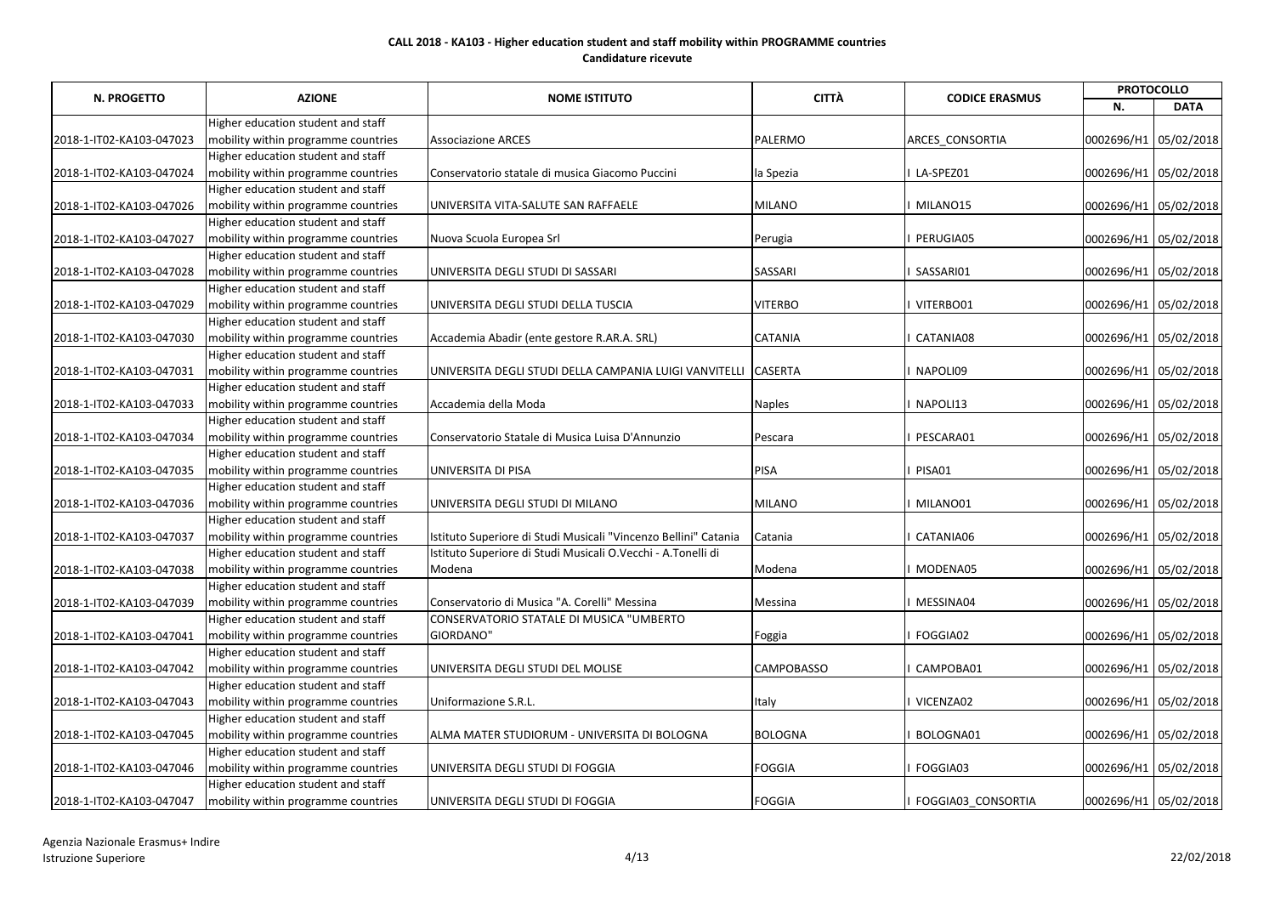| <b>N. PROGETTO</b>       | <b>AZIONE</b>                       | <b>NOME ISTITUTO</b>                                            | <b>CITTÀ</b>      | <b>CODICE ERASMUS</b> | <b>PROTOCOLLO</b>     |             |
|--------------------------|-------------------------------------|-----------------------------------------------------------------|-------------------|-----------------------|-----------------------|-------------|
|                          |                                     |                                                                 |                   |                       | N.                    | <b>DATA</b> |
|                          | Higher education student and staff  |                                                                 |                   |                       |                       |             |
| 2018-1-IT02-KA103-047023 | mobility within programme countries | <b>Associazione ARCES</b>                                       | PALERMO           | ARCES_CONSORTIA       | 0002696/H1 05/02/2018 |             |
|                          | Higher education student and staff  |                                                                 |                   |                       |                       |             |
| 2018-1-IT02-KA103-047024 | mobility within programme countries | Conservatorio statale di musica Giacomo Puccini                 | la Spezia         | LA-SPEZ01             | 0002696/H1 05/02/2018 |             |
|                          | Higher education student and staff  |                                                                 |                   |                       |                       |             |
| 2018-1-IT02-KA103-047026 | mobility within programme countries | UNIVERSITA VITA-SALUTE SAN RAFFAELE                             | <b>MILANO</b>     | MILANO15              | 0002696/H1 05/02/2018 |             |
|                          | Higher education student and staff  |                                                                 |                   |                       |                       |             |
| 2018-1-IT02-KA103-047027 | mobility within programme countries | Nuova Scuola Europea Srl                                        | Perugia           | PERUGIA05             | 0002696/H1 05/02/2018 |             |
|                          | Higher education student and staff  |                                                                 |                   |                       |                       |             |
| 2018-1-IT02-KA103-047028 | mobility within programme countries | UNIVERSITA DEGLI STUDI DI SASSARI                               | <b>SASSARI</b>    | SASSARI01             | 0002696/H1 05/02/2018 |             |
|                          | Higher education student and staff  |                                                                 |                   |                       |                       |             |
| 2018-1-IT02-KA103-047029 | mobility within programme countries | UNIVERSITA DEGLI STUDI DELLA TUSCIA                             | <b>VITERBO</b>    | VITERBO01             | 0002696/H1 05/02/2018 |             |
|                          | Higher education student and staff  |                                                                 |                   |                       |                       |             |
| 2018-1-IT02-KA103-047030 | mobility within programme countries | Accademia Abadir (ente gestore R.AR.A. SRL)                     | <b>CATANIA</b>    | CATANIA08             | 0002696/H1 05/02/2018 |             |
|                          | Higher education student and staff  |                                                                 |                   |                       |                       |             |
| 2018-1-IT02-KA103-047031 | mobility within programme countries | UNIVERSITA DEGLI STUDI DELLA CAMPANIA LUIGI VANVITELLI          | <b>CASERTA</b>    | NAPOLI09              | 0002696/H1 05/02/2018 |             |
|                          | Higher education student and staff  |                                                                 |                   |                       |                       |             |
| 2018-1-IT02-KA103-047033 | mobility within programme countries | Accademia della Moda                                            | <b>Naples</b>     | NAPOLI13              | 0002696/H1 05/02/2018 |             |
|                          | Higher education student and staff  |                                                                 |                   |                       |                       |             |
| 2018-1-IT02-KA103-047034 | mobility within programme countries | Conservatorio Statale di Musica Luisa D'Annunzio                | Pescara           | PESCARA01             | 0002696/H1 05/02/2018 |             |
|                          | Higher education student and staff  |                                                                 |                   |                       |                       |             |
| 2018-1-IT02-KA103-047035 | mobility within programme countries | UNIVERSITA DI PISA                                              | PISA              | PISA01                | 0002696/H1 05/02/2018 |             |
|                          | Higher education student and staff  |                                                                 |                   |                       |                       |             |
| 2018-1-IT02-KA103-047036 | mobility within programme countries | UNIVERSITA DEGLI STUDI DI MILANO                                | <b>MILANO</b>     | MILANO01              | 0002696/H1 05/02/2018 |             |
|                          | Higher education student and staff  |                                                                 |                   |                       |                       |             |
| 2018-1-IT02-KA103-047037 | mobility within programme countries | Istituto Superiore di Studi Musicali "Vincenzo Bellini" Catania | Catania           | CATANIA06             | 0002696/H1 05/02/2018 |             |
|                          | Higher education student and staff  | Istituto Superiore di Studi Musicali O.Vecchi - A.Tonelli di    |                   |                       |                       |             |
| 2018-1-IT02-KA103-047038 | mobility within programme countries | Modena                                                          | Modena            | MODENA05              | 0002696/H1 05/02/2018 |             |
|                          | Higher education student and staff  |                                                                 |                   |                       |                       |             |
| 2018-1-IT02-KA103-047039 | mobility within programme countries | Conservatorio di Musica "A. Corelli" Messina                    | Messina           | MESSINA04             | 0002696/H1 05/02/2018 |             |
|                          | Higher education student and staff  | CONSERVATORIO STATALE DI MUSICA "UMBERTO                        |                   |                       |                       |             |
| 2018-1-IT02-KA103-047041 | mobility within programme countries | GIORDANO"                                                       | Foggia            | FOGGIA02              | 0002696/H1 05/02/2018 |             |
|                          | Higher education student and staff  |                                                                 |                   |                       |                       |             |
| 2018-1-IT02-KA103-047042 | mobility within programme countries | UNIVERSITA DEGLI STUDI DEL MOLISE                               | <b>CAMPOBASSO</b> | CAMPOBA01             | 0002696/H1 05/02/2018 |             |
|                          | Higher education student and staff  |                                                                 |                   |                       |                       |             |
| 2018-1-IT02-KA103-047043 | mobility within programme countries | Uniformazione S.R.L.                                            | Italy             | VICENZA02             | 0002696/H1 05/02/2018 |             |
|                          | Higher education student and staff  |                                                                 |                   |                       |                       |             |
| 2018-1-IT02-KA103-047045 | mobility within programme countries | ALMA MATER STUDIORUM - UNIVERSITA DI BOLOGNA                    | <b>BOLOGNA</b>    | BOLOGNA01             | 0002696/H1 05/02/2018 |             |
|                          | Higher education student and staff  |                                                                 |                   |                       |                       |             |
| 2018-1-IT02-KA103-047046 | mobility within programme countries | UNIVERSITA DEGLI STUDI DI FOGGIA                                | <b>FOGGIA</b>     | FOGGIA03              | 0002696/H1 05/02/2018 |             |
|                          | Higher education student and staff  |                                                                 |                   |                       |                       |             |
| 2018-1-IT02-KA103-047047 | mobility within programme countries | UNIVERSITA DEGLI STUDI DI FOGGIA                                | <b>FOGGIA</b>     | FOGGIA03_CONSORTIA    | 0002696/H1 05/02/2018 |             |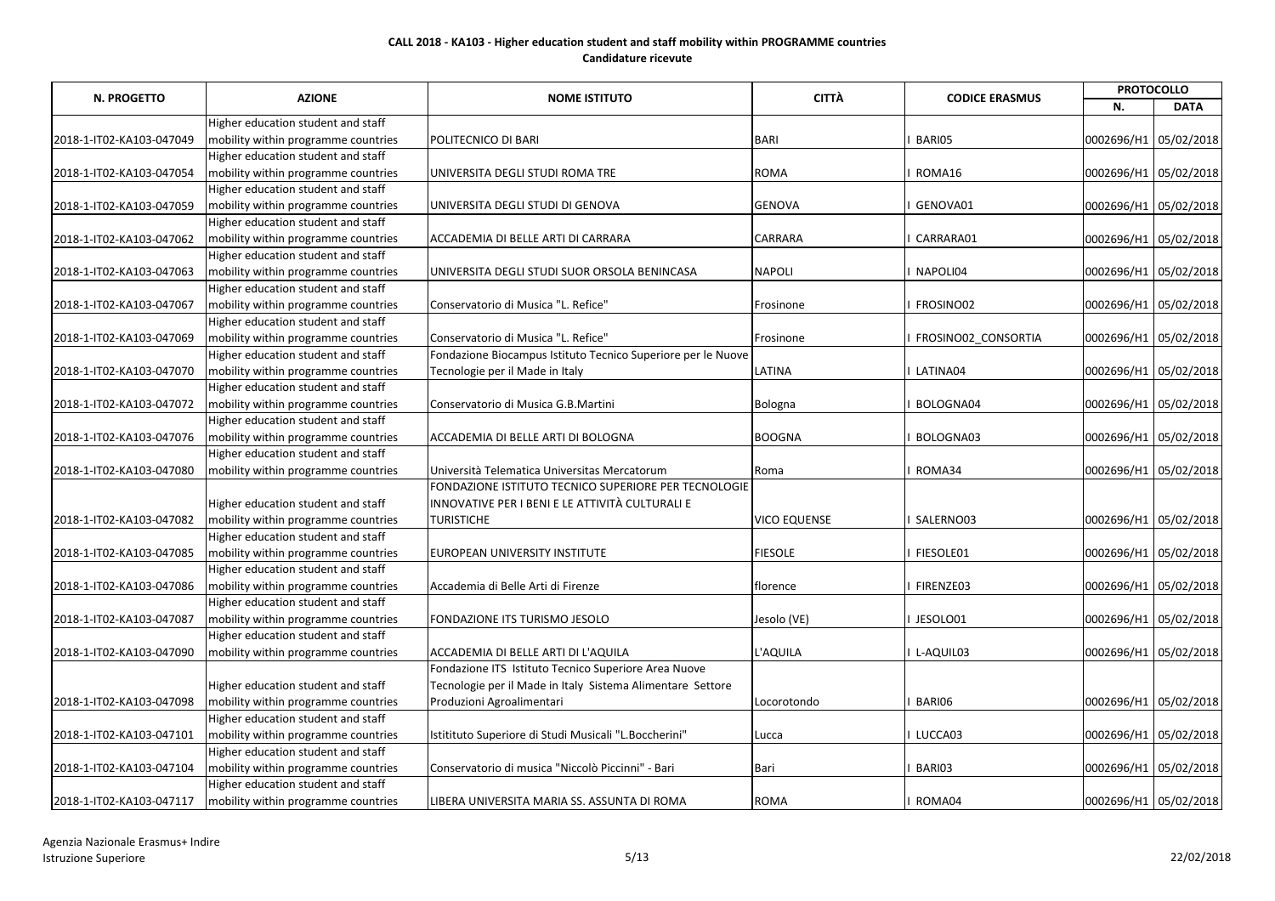|                          |                                                                |                                                              |                     |                       | <b>PROTOCOLLO</b>     |                       |
|--------------------------|----------------------------------------------------------------|--------------------------------------------------------------|---------------------|-----------------------|-----------------------|-----------------------|
| N. PROGETTO              | <b>AZIONE</b>                                                  | <b>NOME ISTITUTO</b>                                         | <b>CITTÀ</b>        | <b>CODICE ERASMUS</b> | N.                    | <b>DATA</b>           |
|                          | Higher education student and staff                             |                                                              |                     |                       |                       |                       |
| 2018-1-IT02-KA103-047049 | mobility within programme countries                            | POLITECNICO DI BARI                                          | <b>BARI</b>         | BARI05                | 0002696/H1 05/02/2018 |                       |
|                          | Higher education student and staff                             |                                                              |                     |                       |                       |                       |
| 2018-1-IT02-KA103-047054 | mobility within programme countries                            | UNIVERSITA DEGLI STUDI ROMA TRE                              | <b>ROMA</b>         | ROMA16                | 0002696/H1 05/02/2018 |                       |
|                          | Higher education student and staff                             |                                                              |                     |                       |                       |                       |
| 2018-1-IT02-KA103-047059 | mobility within programme countries                            | UNIVERSITA DEGLI STUDI DI GENOVA                             | <b>GENOVA</b>       | GENOVA01              | 0002696/H1 05/02/2018 |                       |
|                          | Higher education student and staff                             |                                                              |                     |                       |                       |                       |
| 2018-1-IT02-KA103-047062 | mobility within programme countries                            | ACCADEMIA DI BELLE ARTI DI CARRARA                           | <b>CARRARA</b>      | CARRARA01             | 0002696/H1 05/02/2018 |                       |
|                          | Higher education student and staff                             |                                                              |                     |                       |                       |                       |
| 2018-1-IT02-KA103-047063 | mobility within programme countries                            | UNIVERSITA DEGLI STUDI SUOR ORSOLA BENINCASA                 | <b>NAPOLI</b>       | NAPOLI04              | 0002696/H1 05/02/2018 |                       |
|                          | Higher education student and staff                             |                                                              |                     |                       |                       |                       |
| 2018-1-IT02-KA103-047067 | mobility within programme countries                            | Conservatorio di Musica "L. Refice"                          | Frosinone           | FROSINO02             | 0002696/H1 05/02/2018 |                       |
|                          | Higher education student and staff                             |                                                              |                     |                       |                       |                       |
| 2018-1-IT02-KA103-047069 | mobility within programme countries                            | Conservatorio di Musica "L. Refice"                          | Frosinone           | FROSINO02 CONSORTIA   | 0002696/H1 05/02/2018 |                       |
|                          | Higher education student and staff                             | Fondazione Biocampus Istituto Tecnico Superiore per le Nuove |                     |                       |                       |                       |
| 2018-1-IT02-KA103-047070 | mobility within programme countries                            | Tecnologie per il Made in Italy                              | <b>LATINA</b>       | LATINA04              | 0002696/H1 05/02/2018 |                       |
|                          | Higher education student and staff                             |                                                              |                     |                       |                       |                       |
| 2018-1-IT02-KA103-047072 | mobility within programme countries                            | Conservatorio di Musica G.B.Martini                          | Bologna             | BOLOGNA04             | 0002696/H1 05/02/2018 |                       |
|                          | Higher education student and staff                             |                                                              |                     |                       |                       |                       |
| 2018-1-IT02-KA103-047076 | mobility within programme countries                            | ACCADEMIA DI BELLE ARTI DI BOLOGNA                           | <b>BOOGNA</b>       | BOLOGNA03             | 0002696/H1 05/02/2018 |                       |
|                          | Higher education student and staff                             |                                                              |                     |                       |                       |                       |
| 2018-1-IT02-KA103-047080 | mobility within programme countries                            | Università Telematica Universitas Mercatorum                 | Roma                | ROMA34                | 0002696/H1 05/02/2018 |                       |
|                          |                                                                | FONDAZIONE ISTITUTO TECNICO SUPERIORE PER TECNOLOGIE         |                     |                       |                       |                       |
|                          | Higher education student and staff                             | INNOVATIVE PER I BENI E LE ATTIVITÀ CULTURALI E              |                     |                       |                       |                       |
| 2018-1-IT02-KA103-047082 | mobility within programme countries                            | <b>TURISTICHE</b>                                            | <b>VICO EQUENSE</b> | SALERNO03             | 0002696/H1 05/02/2018 |                       |
|                          | Higher education student and staff                             |                                                              |                     |                       |                       |                       |
| 2018-1-IT02-KA103-047085 | mobility within programme countries                            | EUROPEAN UNIVERSITY INSTITUTE                                | <b>FIESOLE</b>      | FIESOLE01             | 0002696/H1 05/02/2018 |                       |
|                          | Higher education student and staff                             |                                                              |                     |                       |                       |                       |
|                          | 2018-1-IT02-KA103-047086   mobility within programme countries | Accademia di Belle Arti di Firenze                           | florence            | FIRENZE03             |                       | 0002696/H1 05/02/2018 |
|                          | Higher education student and staff                             |                                                              |                     |                       |                       |                       |
| 2018-1-IT02-KA103-047087 | mobility within programme countries                            | FONDAZIONE ITS TURISMO JESOLO                                | Jesolo (VE)         | JESOLO01              | 0002696/H1 05/02/2018 |                       |
|                          | Higher education student and staff                             |                                                              |                     |                       |                       |                       |
| 2018-1-IT02-KA103-047090 | mobility within programme countries                            | ACCADEMIA DI BELLE ARTI DI L'AQUILA                          | L'AQUILA            | L-AQUIL03             | 0002696/H1 05/02/2018 |                       |
|                          |                                                                | Fondazione ITS Istituto Tecnico Superiore Area Nuove         |                     |                       |                       |                       |
|                          | Higher education student and staff                             | Tecnologie per il Made in Italy Sistema Alimentare Settore   |                     |                       |                       |                       |
| 2018-1-IT02-KA103-047098 | mobility within programme countries                            | Produzioni Agroalimentari                                    | Locorotondo         | BARI06                | 0002696/H1 05/02/2018 |                       |
|                          | Higher education student and staff                             |                                                              |                     |                       |                       |                       |
| 2018-1-IT02-KA103-047101 | mobility within programme countries                            | Istitituto Superiore di Studi Musicali "L.Boccherini"        | Lucca               | LUCCA03               | 0002696/H1 05/02/2018 |                       |
|                          | Higher education student and staff                             |                                                              |                     |                       |                       |                       |
| 2018-1-IT02-KA103-047104 | mobility within programme countries                            | Conservatorio di musica "Niccolò Piccinni" - Bari            | Bari                | BARI03                | 0002696/H1 05/02/2018 |                       |
|                          | Higher education student and staff                             |                                                              |                     |                       |                       |                       |
| 2018-1-IT02-KA103-047117 | mobility within programme countries                            | LIBERA UNIVERSITA MARIA SS. ASSUNTA DI ROMA                  | <b>ROMA</b>         | ROMA04                |                       | 0002696/H1 05/02/2018 |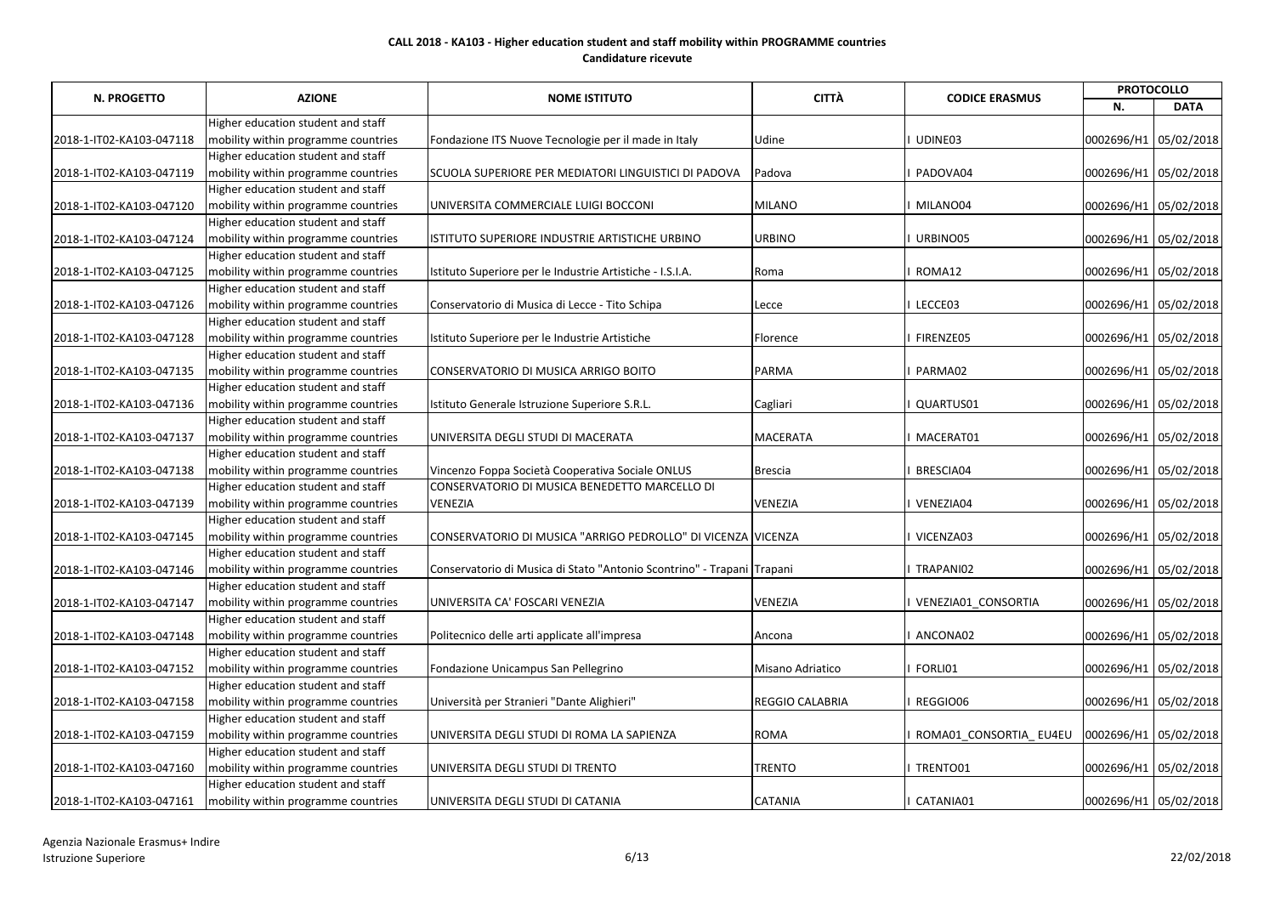| <b>N. PROGETTO</b>       | <b>AZIONE</b>                       | <b>NOME ISTITUTO</b>                                                   | <b>CITTÀ</b>           | <b>CODICE ERASMUS</b>  | <b>PROTOCOLLO</b>     |             |
|--------------------------|-------------------------------------|------------------------------------------------------------------------|------------------------|------------------------|-----------------------|-------------|
|                          |                                     |                                                                        |                        |                        | N.                    | <b>DATA</b> |
|                          | Higher education student and staff  |                                                                        |                        |                        |                       |             |
| 2018-1-IT02-KA103-047118 | mobility within programme countries | Fondazione ITS Nuove Tecnologie per il made in Italy                   | Udine                  | UDINE03                | 0002696/H1 05/02/2018 |             |
|                          | Higher education student and staff  |                                                                        |                        |                        |                       |             |
| 2018-1-IT02-KA103-047119 | mobility within programme countries | SCUOLA SUPERIORE PER MEDIATORI LINGUISTICI DI PADOVA                   | Padova                 | PADOVA04               | 0002696/H1 05/02/2018 |             |
|                          | Higher education student and staff  |                                                                        |                        |                        |                       |             |
| 2018-1-IT02-KA103-047120 | mobility within programme countries | UNIVERSITA COMMERCIALE LUIGI BOCCONI                                   | <b>MILANO</b>          | MILANO04               | 0002696/H1 05/02/2018 |             |
|                          | Higher education student and staff  |                                                                        |                        |                        |                       |             |
| 2018-1-IT02-KA103-047124 | mobility within programme countries | ISTITUTO SUPERIORE INDUSTRIE ARTISTICHE URBINO                         | <b>URBINO</b>          | URBINO05               | 0002696/H1 05/02/2018 |             |
|                          | Higher education student and staff  |                                                                        |                        |                        |                       |             |
| 2018-1-IT02-KA103-047125 | mobility within programme countries | Istituto Superiore per le Industrie Artistiche - I.S.I.A.              | Roma                   | ROMA12                 | 0002696/H1 05/02/2018 |             |
|                          | Higher education student and staff  |                                                                        |                        |                        |                       |             |
| 2018-1-IT02-KA103-047126 | mobility within programme countries | Conservatorio di Musica di Lecce - Tito Schipa                         | Lecce                  | LECCE03                | 0002696/H1 05/02/2018 |             |
|                          | Higher education student and staff  |                                                                        |                        |                        |                       |             |
| 2018-1-IT02-KA103-047128 | mobility within programme countries | Istituto Superiore per le Industrie Artistiche                         | Florence               | FIRENZE05              | 0002696/H1 05/02/2018 |             |
|                          | Higher education student and staff  |                                                                        |                        |                        |                       |             |
| 2018-1-IT02-KA103-047135 | mobility within programme countries | CONSERVATORIO DI MUSICA ARRIGO BOITO                                   | <b>PARMA</b>           | PARMA02                | 0002696/H1 05/02/2018 |             |
|                          | Higher education student and staff  |                                                                        |                        |                        |                       |             |
| 2018-1-IT02-KA103-047136 | mobility within programme countries | Istituto Generale Istruzione Superiore S.R.L.                          | Cagliari               | QUARTUS01              | 0002696/H1 05/02/2018 |             |
|                          | Higher education student and staff  |                                                                        |                        |                        |                       |             |
| 2018-1-IT02-KA103-047137 | mobility within programme countries | UNIVERSITA DEGLI STUDI DI MACERATA                                     | <b>MACERATA</b>        | MACERAT01              | 0002696/H1 05/02/2018 |             |
|                          | Higher education student and staff  |                                                                        |                        |                        |                       |             |
| 2018-1-IT02-KA103-047138 | mobility within programme countries | Vincenzo Foppa Società Cooperativa Sociale ONLUS                       | Brescia                | BRESCIA04              | 0002696/H1 05/02/2018 |             |
|                          | Higher education student and staff  | CONSERVATORIO DI MUSICA BENEDETTO MARCELLO DI                          |                        |                        |                       |             |
| 2018-1-IT02-KA103-047139 | mobility within programme countries | <b>VENEZIA</b>                                                         | <b>VENEZIA</b>         | VENEZIA04              | 0002696/H1 05/02/2018 |             |
|                          | Higher education student and staff  |                                                                        |                        |                        |                       |             |
| 2018-1-IT02-KA103-047145 | mobility within programme countries | CONSERVATORIO DI MUSICA "ARRIGO PEDROLLO" DI VICENZA VIICENZA          |                        | VICENZA03              | 0002696/H1 05/02/2018 |             |
|                          | Higher education student and staff  |                                                                        |                        |                        |                       |             |
| 2018-1-IT02-KA103-047146 | mobility within programme countries | Conservatorio di Musica di Stato "Antonio Scontrino" - Trapani Trapani |                        | TRAPANI02              | 0002696/H1 05/02/2018 |             |
|                          | Higher education student and staff  |                                                                        |                        |                        |                       |             |
| 2018-1-IT02-KA103-047147 | mobility within programme countries | UNIVERSITA CA' FOSCARI VENEZIA                                         | <b>VENEZIA</b>         | VENEZIA01_CONSORTIA    | 0002696/H1 05/02/2018 |             |
|                          | Higher education student and staff  |                                                                        |                        |                        |                       |             |
| 2018-1-IT02-KA103-047148 | mobility within programme countries | Politecnico delle arti applicate all'impresa                           | Ancona                 | ANCONA02               | 0002696/H1 05/02/2018 |             |
|                          | Higher education student and staff  |                                                                        |                        |                        |                       |             |
| 2018-1-IT02-KA103-047152 | mobility within programme countries | Fondazione Unicampus San Pellegrino                                    | Misano Adriatico       | FORLI01                | 0002696/H1 05/02/2018 |             |
|                          | Higher education student and staff  |                                                                        |                        |                        |                       |             |
| 2018-1-IT02-KA103-047158 | mobility within programme countries | Università per Stranieri "Dante Alighieri"                             | <b>REGGIO CALABRIA</b> | REGGIO06               | 0002696/H1 05/02/2018 |             |
|                          | Higher education student and staff  |                                                                        |                        |                        |                       |             |
| 2018-1-IT02-KA103-047159 | mobility within programme countries | UNIVERSITA DEGLI STUDI DI ROMA LA SAPIENZA                             | <b>ROMA</b>            | ROMA01_CONSORTIA_EU4EU | 0002696/H1 05/02/2018 |             |
|                          | Higher education student and staff  |                                                                        |                        |                        |                       |             |
| 2018-1-IT02-KA103-047160 | mobility within programme countries | UNIVERSITA DEGLI STUDI DI TRENTO                                       | <b>TRENTO</b>          | TRENTO01               | 0002696/H1 05/02/2018 |             |
|                          | Higher education student and staff  |                                                                        |                        |                        |                       |             |
| 2018-1-IT02-KA103-047161 | mobility within programme countries | UNIVERSITA DEGLI STUDI DI CATANIA                                      | <b>CATANIA</b>         | CATANIA01              | 0002696/H1 05/02/2018 |             |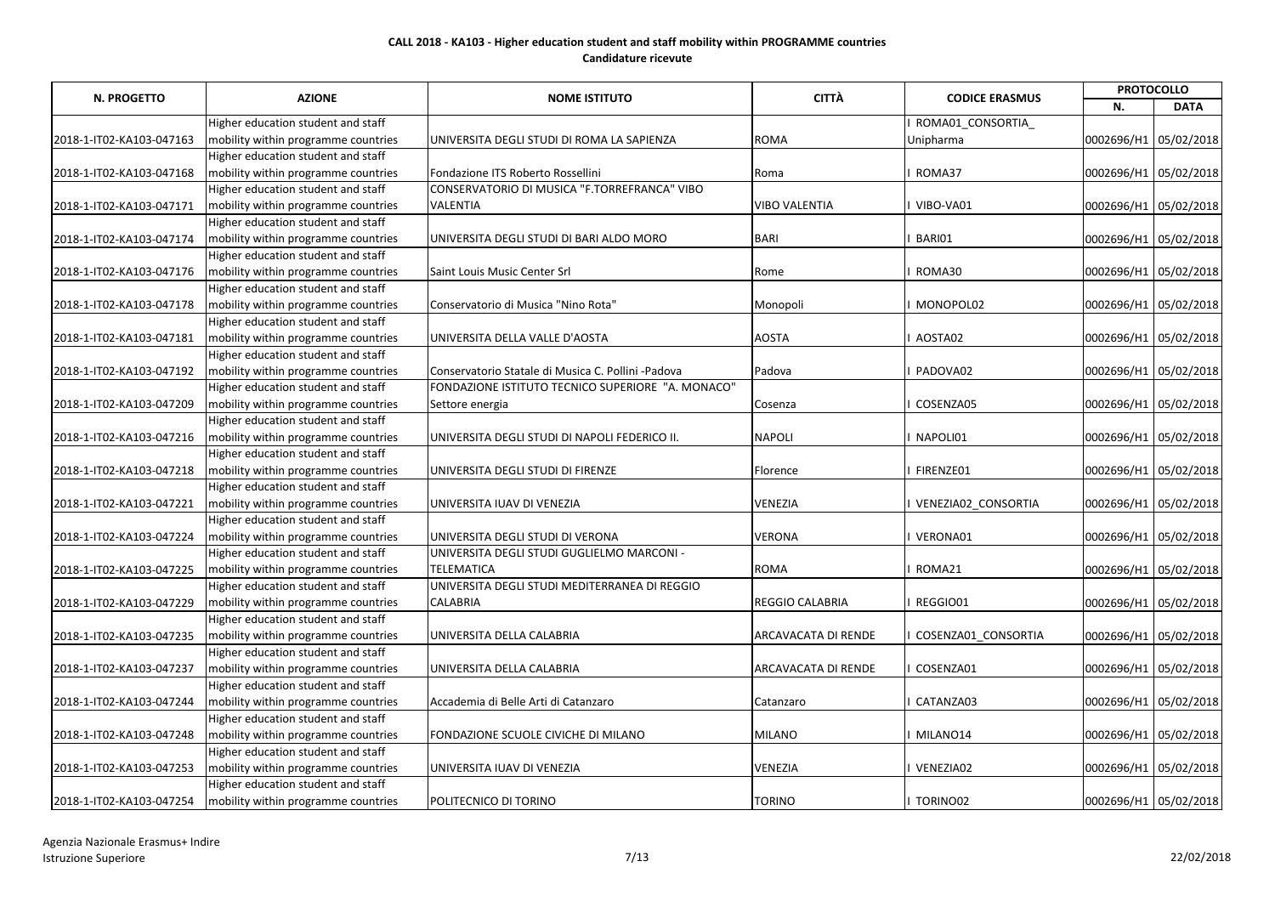|                          |                                     |                                                    | <b>CITTÀ</b>               |                       |                       | <b>PROTOCOLLO</b>     |  |
|--------------------------|-------------------------------------|----------------------------------------------------|----------------------------|-----------------------|-----------------------|-----------------------|--|
| <b>N. PROGETTO</b>       | <b>AZIONE</b>                       | <b>NOME ISTITUTO</b>                               |                            | <b>CODICE ERASMUS</b> | N.                    | <b>DATA</b>           |  |
|                          | Higher education student and staff  |                                                    |                            | ROMA01_CONSORTIA      |                       |                       |  |
| 2018-1-IT02-KA103-047163 | mobility within programme countries | UNIVERSITA DEGLI STUDI DI ROMA LA SAPIENZA         | <b>ROMA</b>                | Unipharma             | 0002696/H1 05/02/2018 |                       |  |
|                          | Higher education student and staff  |                                                    |                            |                       |                       |                       |  |
| 2018-1-IT02-KA103-047168 | mobility within programme countries | Fondazione ITS Roberto Rossellini                  | Roma                       | ROMA37                | 0002696/H1 05/02/2018 |                       |  |
|                          | Higher education student and staff  | CONSERVATORIO DI MUSICA "F.TORREFRANCA" VIBO       |                            |                       |                       |                       |  |
| 2018-1-IT02-KA103-047171 | mobility within programme countries | <b>VALENTIA</b>                                    | <b>VIBO VALENTIA</b>       | VIBO-VA01             | 0002696/H1 05/02/2018 |                       |  |
|                          | Higher education student and staff  |                                                    |                            |                       |                       |                       |  |
| 2018-1-IT02-KA103-047174 | mobility within programme countries | UNIVERSITA DEGLI STUDI DI BARI ALDO MORO           | <b>BARI</b>                | BARI01                | 0002696/H1 05/02/2018 |                       |  |
|                          | Higher education student and staff  |                                                    |                            |                       |                       |                       |  |
| 2018-1-IT02-KA103-047176 | mobility within programme countries | Saint Louis Music Center Srl                       | Rome                       | ROMA30                | 0002696/H1 05/02/2018 |                       |  |
|                          | Higher education student and staff  |                                                    |                            |                       |                       |                       |  |
| 2018-1-IT02-KA103-047178 | mobility within programme countries | Conservatorio di Musica "Nino Rota"                | Monopoli                   | MONOPOL02             | 0002696/H1 05/02/2018 |                       |  |
|                          | Higher education student and staff  |                                                    |                            |                       |                       |                       |  |
| 2018-1-IT02-KA103-047181 | mobility within programme countries | UNIVERSITA DELLA VALLE D'AOSTA                     | <b>AOSTA</b>               | AOSTA02               | 0002696/H1 05/02/2018 |                       |  |
|                          | Higher education student and staff  |                                                    |                            |                       |                       |                       |  |
| 2018-1-IT02-KA103-047192 | mobility within programme countries | Conservatorio Statale di Musica C. Pollini -Padova | Padova                     | PADOVA02              | 0002696/H1 05/02/2018 |                       |  |
|                          | Higher education student and staff  | FONDAZIONE ISTITUTO TECNICO SUPERIORE "A. MONACO"  |                            |                       |                       |                       |  |
| 2018-1-IT02-KA103-047209 | mobility within programme countries | Settore energia                                    | Cosenza                    | COSENZA05             | 0002696/H1 05/02/2018 |                       |  |
|                          | Higher education student and staff  |                                                    |                            |                       |                       |                       |  |
| 2018-1-IT02-KA103-047216 | mobility within programme countries | UNIVERSITA DEGLI STUDI DI NAPOLI FEDERICO II.      | <b>NAPOLI</b>              | NAPOLI01              | 0002696/H1 05/02/2018 |                       |  |
|                          | Higher education student and staff  |                                                    |                            |                       |                       |                       |  |
| 2018-1-IT02-KA103-047218 | mobility within programme countries | UNIVERSITA DEGLI STUDI DI FIRENZE                  | Florence                   | FIRENZE01             | 0002696/H1 05/02/2018 |                       |  |
|                          | Higher education student and staff  |                                                    |                            |                       |                       |                       |  |
| 2018-1-IT02-KA103-047221 | mobility within programme countries | UNIVERSITA IUAV DI VENEZIA                         | <b>VENEZIA</b>             | VENEZIA02_CONSORTIA   | 0002696/H1 05/02/2018 |                       |  |
|                          | Higher education student and staff  |                                                    |                            |                       |                       |                       |  |
| 2018-1-IT02-KA103-047224 | mobility within programme countries | UNIVERSITA DEGLI STUDI DI VERONA                   | <b>VERONA</b>              | VERONA01              | 0002696/H1 05/02/2018 |                       |  |
|                          | Higher education student and staff  | UNIVERSITA DEGLI STUDI GUGLIELMO MARCONI -         |                            |                       |                       |                       |  |
| 2018-1-IT02-KA103-047225 | mobility within programme countries | <b>TELEMATICA</b>                                  | <b>ROMA</b>                | ROMA21                | 0002696/H1 05/02/2018 |                       |  |
|                          | Higher education student and staff  | UNIVERSITA DEGLI STUDI MEDITERRANEA DI REGGIO      |                            |                       |                       |                       |  |
| 2018-1-IT02-KA103-047229 | mobility within programme countries | <b>CALABRIA</b>                                    | <b>REGGIO CALABRIA</b>     | REGGIO01              |                       | 0002696/H1 05/02/2018 |  |
|                          | Higher education student and staff  |                                                    |                            |                       |                       |                       |  |
| 2018-1-IT02-KA103-047235 | mobility within programme countries | UNIVERSITA DELLA CALABRIA                          | <b>ARCAVACATA DI RENDE</b> | COSENZA01 CONSORTIA   |                       | 0002696/H1 05/02/2018 |  |
|                          | Higher education student and staff  |                                                    |                            |                       |                       |                       |  |
| 2018-1-IT02-KA103-047237 | mobility within programme countries | UNIVERSITA DELLA CALABRIA                          | ARCAVACATA DI RENDE        | COSENZA01             |                       | 0002696/H1 05/02/2018 |  |
|                          | Higher education student and staff  |                                                    |                            |                       |                       |                       |  |
| 2018-1-IT02-KA103-047244 | mobility within programme countries | Accademia di Belle Arti di Catanzaro               | Catanzaro                  | CATANZA03             |                       | 0002696/H1 05/02/2018 |  |
|                          | Higher education student and staff  |                                                    |                            |                       |                       |                       |  |
| 2018-1-IT02-KA103-047248 | mobility within programme countries | FONDAZIONE SCUOLE CIVICHE DI MILANO                | <b>MILANO</b>              | MILANO14              |                       | 0002696/H1 05/02/2018 |  |
|                          | Higher education student and staff  |                                                    |                            |                       |                       |                       |  |
| 2018-1-IT02-KA103-047253 | mobility within programme countries | UNIVERSITA IUAV DI VENEZIA                         | <b>VENEZIA</b>             | VENEZIA02             |                       | 0002696/H1 05/02/2018 |  |
|                          | Higher education student and staff  |                                                    |                            |                       |                       |                       |  |
| 2018-1-IT02-KA103-047254 | mobility within programme countries | POLITECNICO DI TORINO                              | <b>TORINO</b>              | TORINO02              |                       | 0002696/H1 05/02/2018 |  |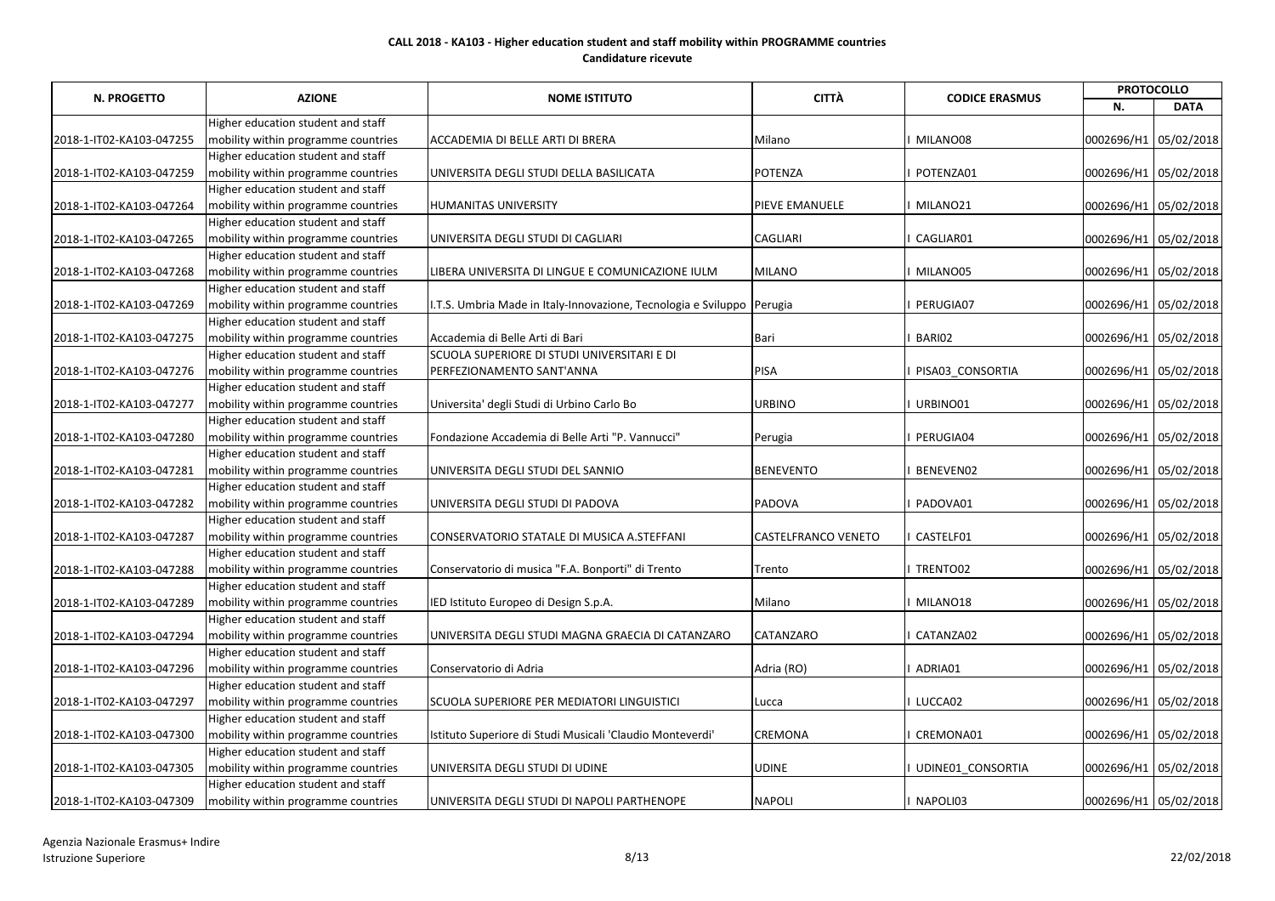|                          |                                     |                                                                        | <b>CITTÀ</b>               |                       |                       | <b>PROTOCOLLO</b>     |
|--------------------------|-------------------------------------|------------------------------------------------------------------------|----------------------------|-----------------------|-----------------------|-----------------------|
| N. PROGETTO              | <b>AZIONE</b>                       | <b>NOME ISTITUTO</b>                                                   |                            | <b>CODICE ERASMUS</b> | N.                    | <b>DATA</b>           |
|                          | Higher education student and staff  |                                                                        |                            |                       |                       |                       |
| 2018-1-IT02-KA103-047255 | mobility within programme countries | ACCADEMIA DI BELLE ARTI DI BRERA                                       | Milano                     | MILANO08              | 0002696/H1 05/02/2018 |                       |
|                          | Higher education student and staff  |                                                                        |                            |                       |                       |                       |
| 2018-1-IT02-KA103-047259 | mobility within programme countries | UNIVERSITA DEGLI STUDI DELLA BASILICATA                                | <b>POTENZA</b>             | POTENZA01             | 0002696/H1 05/02/2018 |                       |
|                          | Higher education student and staff  |                                                                        |                            |                       |                       |                       |
| 2018-1-IT02-KA103-047264 | mobility within programme countries | <b>HUMANITAS UNIVERSITY</b>                                            | <b>PIEVE EMANUELE</b>      | MILANO21              |                       | 0002696/H1 05/02/2018 |
|                          | Higher education student and staff  |                                                                        |                            |                       |                       |                       |
| 2018-1-IT02-KA103-047265 | mobility within programme countries | UNIVERSITA DEGLI STUDI DI CAGLIARI                                     | <b>CAGLIARI</b>            | CAGLIAR01             | 0002696/H1 05/02/2018 |                       |
|                          | Higher education student and staff  |                                                                        |                            |                       |                       |                       |
| 2018-1-IT02-KA103-047268 | mobility within programme countries | LIBERA UNIVERSITA DI LINGUE E COMUNICAZIONE IULM                       | <b>MILANO</b>              | MILANO05              | 0002696/H1 05/02/2018 |                       |
|                          | Higher education student and staff  |                                                                        |                            |                       |                       |                       |
| 2018-1-IT02-KA103-047269 | mobility within programme countries | I.T.S. Umbria Made in Italy-Innovazione, Tecnologia e Sviluppo Perugia |                            | PERUGIA07             | 0002696/H1 05/02/2018 |                       |
|                          | Higher education student and staff  |                                                                        |                            |                       |                       |                       |
| 2018-1-IT02-KA103-047275 | mobility within programme countries | Accademia di Belle Arti di Bari                                        | Bari                       | BARI02                | 0002696/H1 05/02/2018 |                       |
|                          | Higher education student and staff  | SCUOLA SUPERIORE DI STUDI UNIVERSITARI E DI                            |                            |                       |                       |                       |
| 2018-1-IT02-KA103-047276 | mobility within programme countries | PERFEZIONAMENTO SANT'ANNA                                              | <b>PISA</b>                | PISA03_CONSORTIA      | 0002696/H1 05/02/2018 |                       |
|                          | Higher education student and staff  |                                                                        |                            |                       |                       |                       |
| 2018-1-IT02-KA103-047277 | mobility within programme countries | Universita' degli Studi di Urbino Carlo Bo                             | <b>URBINO</b>              | URBINO01              | 0002696/H1 05/02/2018 |                       |
|                          | Higher education student and staff  |                                                                        |                            |                       |                       |                       |
| 2018-1-IT02-KA103-047280 | mobility within programme countries | Fondazione Accademia di Belle Arti "P. Vannucci"                       | Perugia                    | PERUGIA04             | 0002696/H1 05/02/2018 |                       |
|                          | Higher education student and staff  |                                                                        |                            |                       |                       |                       |
| 2018-1-IT02-KA103-047281 | mobility within programme countries | UNIVERSITA DEGLI STUDI DEL SANNIO                                      | <b>BENEVENTO</b>           | BENEVEN02             | 0002696/H1 05/02/2018 |                       |
|                          | Higher education student and staff  |                                                                        |                            |                       |                       |                       |
| 2018-1-IT02-KA103-047282 | mobility within programme countries | UNIVERSITA DEGLI STUDI DI PADOVA                                       | <b>PADOVA</b>              | PADOVA01              | 0002696/H1 05/02/2018 |                       |
|                          | Higher education student and staff  |                                                                        |                            |                       |                       |                       |
| 2018-1-IT02-KA103-047287 | mobility within programme countries | CONSERVATORIO STATALE DI MUSICA A.STEFFANI                             | <b>CASTELFRANCO VENETO</b> | CASTELF01             | 0002696/H1 05/02/2018 |                       |
|                          | Higher education student and staff  |                                                                        |                            |                       |                       |                       |
| 2018-1-IT02-KA103-047288 | mobility within programme countries | Conservatorio di musica "F.A. Bonporti" di Trento                      | Trento                     | TRENTO02              | 0002696/H1 05/02/2018 |                       |
|                          | Higher education student and staff  |                                                                        |                            |                       |                       |                       |
| 2018-1-IT02-KA103-047289 | mobility within programme countries | IED Istituto Europeo di Design S.p.A.                                  | Milano                     | MILANO18              |                       | 0002696/H1 05/02/2018 |
|                          | Higher education student and staff  |                                                                        |                            |                       |                       |                       |
| 2018-1-IT02-KA103-047294 | mobility within programme countries | UNIVERSITA DEGLI STUDI MAGNA GRAECIA DI CATANZARO                      | <b>CATANZARO</b>           | CATANZA02             |                       | 0002696/H1 05/02/2018 |
|                          | Higher education student and staff  |                                                                        |                            |                       |                       |                       |
| 2018-1-IT02-KA103-047296 | mobility within programme countries | Conservatorio di Adria                                                 | Adria (RO)                 | ADRIA01               |                       | 0002696/H1 05/02/2018 |
|                          | Higher education student and staff  |                                                                        |                            |                       |                       |                       |
| 2018-1-IT02-KA103-047297 | mobility within programme countries | SCUOLA SUPERIORE PER MEDIATORI LINGUISTICI                             | Lucca                      | LUCCA02               |                       | 0002696/H1 05/02/2018 |
|                          | Higher education student and staff  |                                                                        |                            |                       |                       |                       |
| 2018-1-IT02-KA103-047300 | mobility within programme countries | Istituto Superiore di Studi Musicali 'Claudio Monteverdi'              | <b>CREMONA</b>             | CREMONA01             |                       | 0002696/H1 05/02/2018 |
|                          | Higher education student and staff  |                                                                        |                            |                       |                       |                       |
| 2018-1-IT02-KA103-047305 | mobility within programme countries | UNIVERSITA DEGLI STUDI DI UDINE                                        | <b>UDINE</b>               | UDINE01_CONSORTIA     |                       | 0002696/H1 05/02/2018 |
|                          | Higher education student and staff  |                                                                        |                            |                       |                       |                       |
| 2018-1-IT02-KA103-047309 | mobility within programme countries | UNIVERSITA DEGLI STUDI DI NAPOLI PARTHENOPE                            | <b>NAPOLI</b>              | NAPOLI03              |                       | 0002696/H1 05/02/2018 |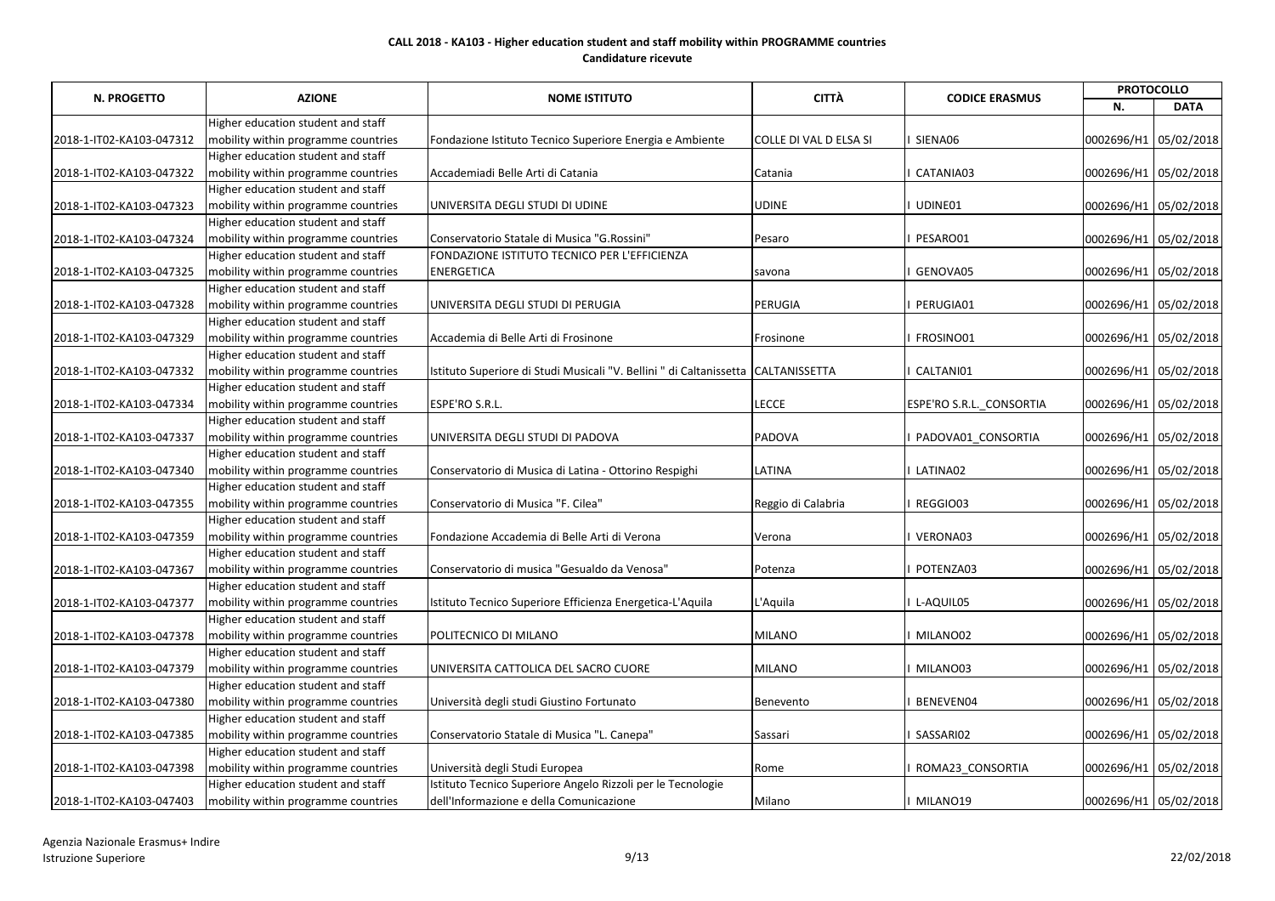|                          |                                     |                                                                                   | <b>CITTÀ</b>           |                          | <b>PROTOCOLLO</b>     |             |
|--------------------------|-------------------------------------|-----------------------------------------------------------------------------------|------------------------|--------------------------|-----------------------|-------------|
| <b>N. PROGETTO</b>       | <b>AZIONE</b>                       | <b>NOME ISTITUTO</b>                                                              |                        | <b>CODICE ERASMUS</b>    | N.                    | <b>DATA</b> |
|                          | Higher education student and staff  |                                                                                   |                        |                          |                       |             |
| 2018-1-IT02-KA103-047312 | mobility within programme countries | Fondazione Istituto Tecnico Superiore Energia e Ambiente                          | COLLE DI VAL D ELSA SI | SIENA06                  | 0002696/H1 05/02/2018 |             |
|                          | Higher education student and staff  |                                                                                   |                        |                          |                       |             |
| 2018-1-IT02-KA103-047322 | mobility within programme countries | Accademiadi Belle Arti di Catania                                                 | Catania                | CATANIA03                | 0002696/H1 05/02/2018 |             |
|                          | Higher education student and staff  |                                                                                   |                        |                          |                       |             |
| 2018-1-IT02-KA103-047323 | mobility within programme countries | UNIVERSITA DEGLI STUDI DI UDINE                                                   | <b>UDINE</b>           | UDINE01                  | 0002696/H1 05/02/2018 |             |
|                          | Higher education student and staff  |                                                                                   |                        |                          |                       |             |
| 2018-1-IT02-KA103-047324 | mobility within programme countries | Conservatorio Statale di Musica "G.Rossini"                                       | Pesaro                 | PESARO01                 | 0002696/H1 05/02/2018 |             |
|                          | Higher education student and staff  | FONDAZIONE ISTITUTO TECNICO PER L'EFFICIENZA                                      |                        |                          |                       |             |
| 2018-1-IT02-KA103-047325 | mobility within programme countries | <b>ENERGETICA</b>                                                                 | savona                 | GENOVA05                 | 0002696/H1 05/02/2018 |             |
|                          | Higher education student and staff  |                                                                                   |                        |                          |                       |             |
| 2018-1-IT02-KA103-047328 | mobility within programme countries | UNIVERSITA DEGLI STUDI DI PERUGIA                                                 | PERUGIA                | PERUGIA01                | 0002696/H1 05/02/2018 |             |
|                          | Higher education student and staff  |                                                                                   |                        |                          |                       |             |
| 2018-1-IT02-KA103-047329 | mobility within programme countries | Accademia di Belle Arti di Frosinone                                              | Frosinone              | FROSINO01                | 0002696/H1 05/02/2018 |             |
|                          | Higher education student and staff  |                                                                                   |                        |                          |                       |             |
| 2018-1-IT02-KA103-047332 | mobility within programme countries | Istituto Superiore di Studi Musicali "V. Bellini " di Caltanissetta CALTANISSETTA |                        | CALTANI01                | 0002696/H1 05/02/2018 |             |
|                          | Higher education student and staff  |                                                                                   |                        |                          |                       |             |
| 2018-1-IT02-KA103-047334 | mobility within programme countries | ESPE'RO S.R.L.                                                                    | <b>LECCE</b>           | ESPE'RO S.R.L. CONSORTIA | 0002696/H1 05/02/2018 |             |
|                          | Higher education student and staff  |                                                                                   |                        |                          |                       |             |
| 2018-1-IT02-KA103-047337 | mobility within programme countries | UNIVERSITA DEGLI STUDI DI PADOVA                                                  | <b>PADOVA</b>          | PADOVA01_CONSORTIA       | 0002696/H1 05/02/2018 |             |
|                          | Higher education student and staff  |                                                                                   |                        |                          |                       |             |
| 2018-1-IT02-KA103-047340 | mobility within programme countries | Conservatorio di Musica di Latina - Ottorino Respighi                             | <b>LATINA</b>          | LATINA02                 | 0002696/H1 05/02/2018 |             |
|                          | Higher education student and staff  |                                                                                   |                        |                          |                       |             |
| 2018-1-IT02-KA103-047355 | mobility within programme countries | Conservatorio di Musica "F. Cilea"                                                | Reggio di Calabria     | REGGIO03                 | 0002696/H1 05/02/2018 |             |
|                          | Higher education student and staff  |                                                                                   |                        |                          |                       |             |
| 2018-1-IT02-KA103-047359 | mobility within programme countries | Fondazione Accademia di Belle Arti di Verona                                      | Verona                 | VERONA03                 | 0002696/H1 05/02/2018 |             |
|                          | Higher education student and staff  |                                                                                   |                        |                          |                       |             |
| 2018-1-IT02-KA103-047367 | mobility within programme countries | Conservatorio di musica "Gesualdo da Venosa"                                      | Potenza                | POTENZA03                | 0002696/H1 05/02/2018 |             |
|                          | Higher education student and staff  |                                                                                   |                        |                          |                       |             |
| 2018-1-IT02-KA103-047377 | mobility within programme countries | Istituto Tecnico Superiore Efficienza Energetica-L'Aquila                         | L'Aquila               | L-AQUIL05                | 0002696/H1 05/02/2018 |             |
|                          | Higher education student and staff  |                                                                                   |                        |                          |                       |             |
| 2018-1-IT02-KA103-047378 | mobility within programme countries | POLITECNICO DI MILANO                                                             | <b>MILANO</b>          | MILANO02                 | 0002696/H1 05/02/2018 |             |
|                          | Higher education student and staff  |                                                                                   |                        |                          |                       |             |
| 2018-1-IT02-KA103-047379 | mobility within programme countries | UNIVERSITA CATTOLICA DEL SACRO CUORE                                              | <b>MILANO</b>          | MILANO03                 | 0002696/H1 05/02/2018 |             |
|                          | Higher education student and staff  |                                                                                   |                        |                          |                       |             |
| 2018-1-IT02-KA103-047380 | mobility within programme countries | Università degli studi Giustino Fortunato                                         | Benevento              | BENEVEN04                | 0002696/H1 05/02/2018 |             |
|                          | Higher education student and staff  |                                                                                   |                        |                          |                       |             |
| 2018-1-IT02-KA103-047385 | mobility within programme countries | Conservatorio Statale di Musica "L. Canepa"                                       | Sassari                | SASSARI02                | 0002696/H1 05/02/2018 |             |
|                          | Higher education student and staff  |                                                                                   |                        |                          |                       |             |
| 2018-1-IT02-KA103-047398 | mobility within programme countries | Università degli Studi Europea                                                    | Rome                   | ROMA23_CONSORTIA         | 0002696/H1 05/02/2018 |             |
|                          | Higher education student and staff  | Istituto Tecnico Superiore Angelo Rizzoli per le Tecnologie                       |                        |                          |                       |             |
| 2018-1-IT02-KA103-047403 | mobility within programme countries | dell'Informazione e della Comunicazione                                           | Milano                 | MILANO19                 | 0002696/H1 05/02/2018 |             |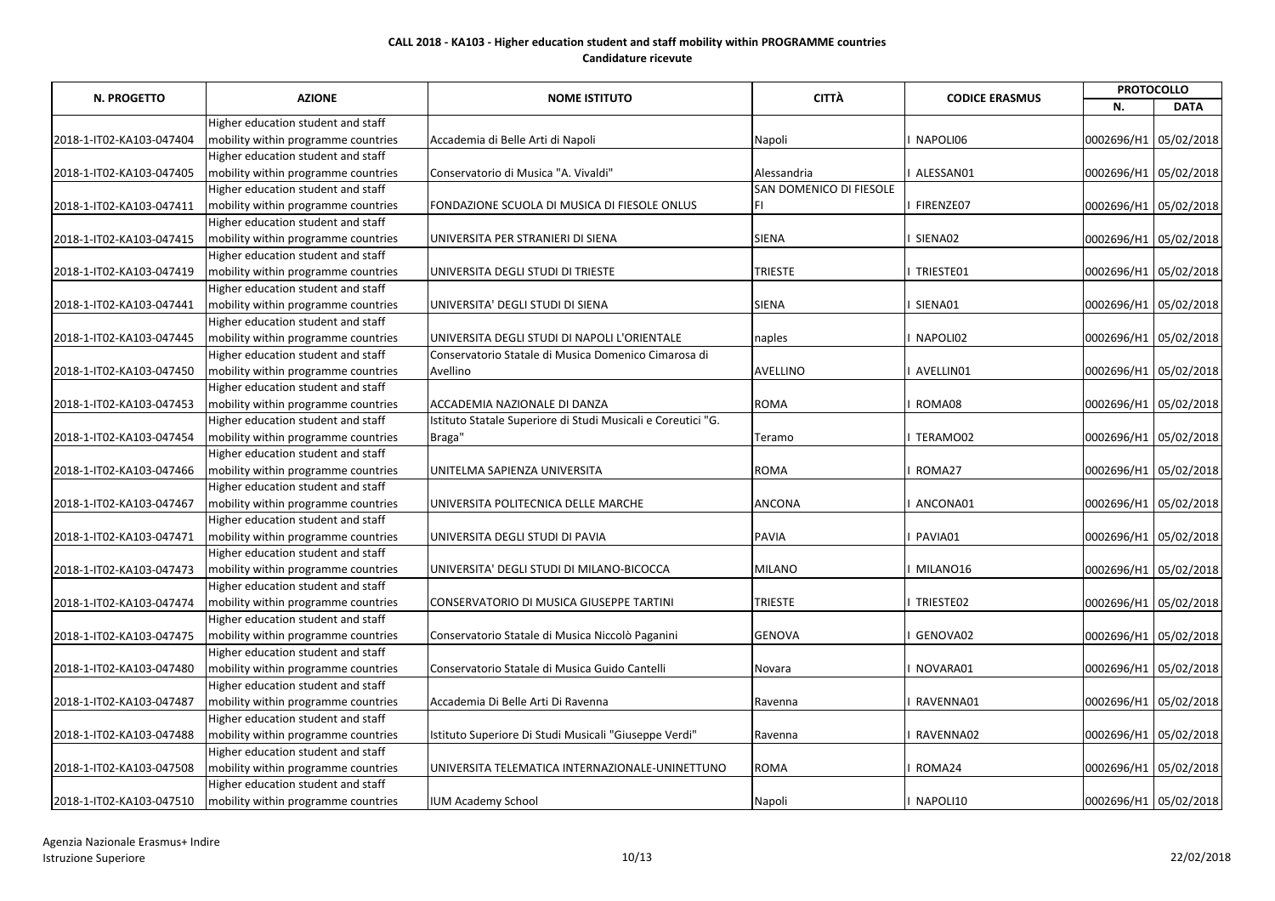|                          |                                     |                                                              | <b>CITTÀ</b>            |                       |                       | <b>PROTOCOLLO</b>     |  |
|--------------------------|-------------------------------------|--------------------------------------------------------------|-------------------------|-----------------------|-----------------------|-----------------------|--|
| N. PROGETTO              | <b>AZIONE</b>                       | <b>NOME ISTITUTO</b>                                         |                         | <b>CODICE ERASMUS</b> | N.                    | <b>DATA</b>           |  |
|                          | Higher education student and staff  |                                                              |                         |                       |                       |                       |  |
| 2018-1-IT02-KA103-047404 | mobility within programme countries | Accademia di Belle Arti di Napoli                            | Napoli                  | NAPOLI06              | 0002696/H1 05/02/2018 |                       |  |
|                          | Higher education student and staff  |                                                              |                         |                       |                       |                       |  |
| 2018-1-IT02-KA103-047405 | mobility within programme countries | Conservatorio di Musica "A. Vivaldi"                         | Alessandria             | ALESSAN01             | 0002696/H1 05/02/2018 |                       |  |
|                          | Higher education student and staff  |                                                              | SAN DOMENICO DI FIESOLE |                       |                       |                       |  |
| 2018-1-IT02-KA103-047411 | mobility within programme countries | FONDAZIONE SCUOLA DI MUSICA DI FIESOLE ONLUS                 | IFI                     | FIRENZE07             | 0002696/H1 05/02/2018 |                       |  |
|                          | Higher education student and staff  |                                                              |                         |                       |                       |                       |  |
| 2018-1-IT02-KA103-047415 | mobility within programme countries | UNIVERSITA PER STRANIERI DI SIENA                            | <b>SIENA</b>            | SIENA02               | 0002696/H1 05/02/2018 |                       |  |
|                          | Higher education student and staff  |                                                              |                         |                       |                       |                       |  |
| 2018-1-IT02-KA103-047419 | mobility within programme countries | UNIVERSITA DEGLI STUDI DI TRIESTE                            | <b>TRIESTE</b>          | TRIESTE01             | 0002696/H1 05/02/2018 |                       |  |
|                          | Higher education student and staff  |                                                              |                         |                       |                       |                       |  |
| 2018-1-IT02-KA103-047441 | mobility within programme countries | UNIVERSITA' DEGLI STUDI DI SIENA                             | <b>SIENA</b>            | SIENA01               | 0002696/H1 05/02/2018 |                       |  |
|                          | Higher education student and staff  |                                                              |                         |                       |                       |                       |  |
| 2018-1-IT02-KA103-047445 | mobility within programme countries | UNIVERSITA DEGLI STUDI DI NAPOLI L'ORIENTALE                 | naples                  | NAPOLI02              | 0002696/H1 05/02/2018 |                       |  |
|                          | Higher education student and staff  | Conservatorio Statale di Musica Domenico Cimarosa di         |                         |                       |                       |                       |  |
| 2018-1-IT02-KA103-047450 | mobility within programme countries | Avellino                                                     | <b>AVELLINO</b>         | AVELLIN01             | 0002696/H1 05/02/2018 |                       |  |
|                          | Higher education student and staff  |                                                              |                         |                       |                       |                       |  |
| 2018-1-IT02-KA103-047453 | mobility within programme countries | <b>ACCADEMIA NAZIONALE DI DANZA</b>                          | <b>ROMA</b>             | ROMA08                | 0002696/H1 05/02/2018 |                       |  |
|                          | Higher education student and staff  | Istituto Statale Superiore di Studi Musicali e Coreutici "G. |                         |                       |                       |                       |  |
| 2018-1-IT02-KA103-047454 | mobility within programme countries | Braga"                                                       | Teramo                  | TERAMO02              | 0002696/H1 05/02/2018 |                       |  |
|                          | Higher education student and staff  |                                                              |                         |                       |                       |                       |  |
| 2018-1-IT02-KA103-047466 | mobility within programme countries | UNITELMA SAPIENZA UNIVERSITA                                 | <b>ROMA</b>             | ROMA27                | 0002696/H1 05/02/2018 |                       |  |
|                          | Higher education student and staff  |                                                              |                         |                       |                       |                       |  |
| 2018-1-IT02-KA103-047467 | mobility within programme countries | UNIVERSITA POLITECNICA DELLE MARCHE                          | <b>ANCONA</b>           | ANCONA01              | 0002696/H1 05/02/2018 |                       |  |
|                          | Higher education student and staff  |                                                              |                         |                       |                       |                       |  |
| 2018-1-IT02-KA103-047471 | mobility within programme countries | UNIVERSITA DEGLI STUDI DI PAVIA                              | <b>PAVIA</b>            | PAVIA01               | 0002696/H1 05/02/2018 |                       |  |
|                          | Higher education student and staff  |                                                              |                         |                       |                       |                       |  |
| 2018-1-IT02-KA103-047473 | mobility within programme countries | UNIVERSITA' DEGLI STUDI DI MILANO-BICOCCA                    | <b>MILANO</b>           | MILANO16              | 0002696/H1 05/02/2018 |                       |  |
|                          | Higher education student and staff  |                                                              |                         |                       |                       |                       |  |
| 2018-1-IT02-KA103-047474 | mobility within programme countries | CONSERVATORIO DI MUSICA GIUSEPPE TARTINI                     | <b>TRIESTE</b>          | TRIESTE02             |                       | 0002696/H1 05/02/2018 |  |
|                          | Higher education student and staff  |                                                              |                         |                       |                       |                       |  |
| 2018-1-IT02-KA103-047475 | mobility within programme countries | Conservatorio Statale di Musica Niccolò Paganini             | <b>GENOVA</b>           | GENOVA02              |                       | 0002696/H1 05/02/2018 |  |
|                          | Higher education student and staff  |                                                              |                         |                       |                       |                       |  |
| 2018-1-IT02-KA103-047480 | mobility within programme countries | Conservatorio Statale di Musica Guido Cantelli               | Novara                  | NOVARA01              |                       | 0002696/H1 05/02/2018 |  |
|                          | Higher education student and staff  |                                                              |                         |                       |                       |                       |  |
| 2018-1-IT02-KA103-047487 | mobility within programme countries | Accademia Di Belle Arti Di Ravenna                           | Ravenna                 | RAVENNA01             |                       | 0002696/H1 05/02/2018 |  |
|                          | Higher education student and staff  |                                                              |                         |                       |                       |                       |  |
| 2018-1-IT02-KA103-047488 | mobility within programme countries | Istituto Superiore Di Studi Musicali "Giuseppe Verdi"        | Ravenna                 | RAVENNA02             |                       | 0002696/H1 05/02/2018 |  |
|                          | Higher education student and staff  |                                                              |                         |                       |                       |                       |  |
| 2018-1-IT02-KA103-047508 | mobility within programme countries | UNIVERSITA TELEMATICA INTERNAZIONALE-UNINETTUNO              | <b>ROMA</b>             | ROMA24                |                       | 0002696/H1 05/02/2018 |  |
|                          | Higher education student and staff  |                                                              |                         |                       |                       |                       |  |
| 2018-1-IT02-KA103-047510 | mobility within programme countries | <b>IUM Academy School</b>                                    | Napoli                  | NAPOLI10              |                       | 0002696/H1 05/02/2018 |  |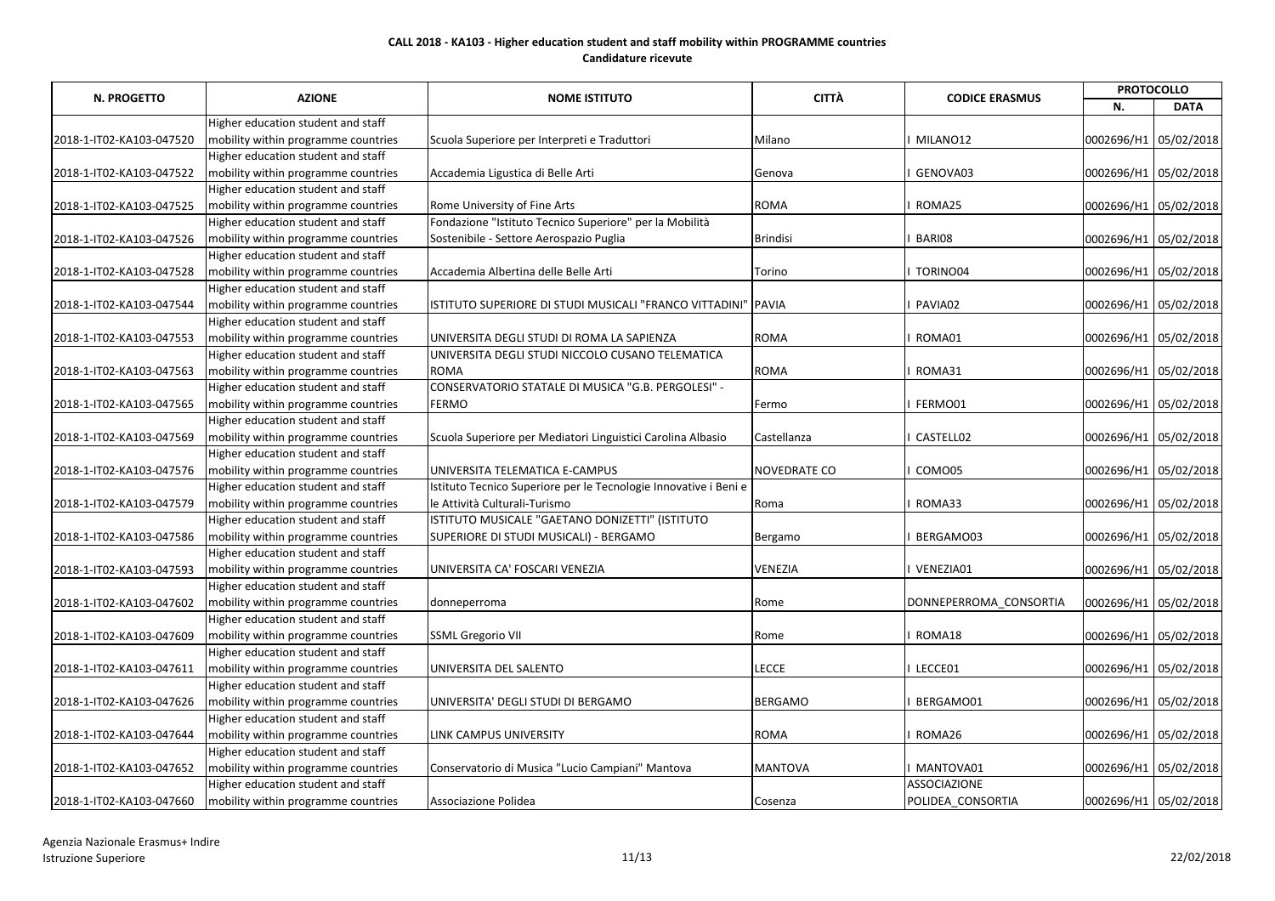|                          | <b>AZIONE</b>                       | <b>NOME ISTITUTO</b>                                             | <b>CITTÀ</b><br><b>CODICE ERASMUS</b> | <b>PROTOCOLLO</b>      |                       |                       |
|--------------------------|-------------------------------------|------------------------------------------------------------------|---------------------------------------|------------------------|-----------------------|-----------------------|
| <b>N. PROGETTO</b>       |                                     |                                                                  |                                       |                        | N.                    | <b>DATA</b>           |
|                          | Higher education student and staff  |                                                                  |                                       |                        |                       |                       |
| 2018-1-IT02-KA103-047520 | mobility within programme countries | Scuola Superiore per Interpreti e Traduttori                     | Milano                                | MILANO12               | 0002696/H1 05/02/2018 |                       |
|                          | Higher education student and staff  |                                                                  |                                       |                        |                       |                       |
| 2018-1-IT02-KA103-047522 | mobility within programme countries | Accademia Ligustica di Belle Arti                                | Genova                                | GENOVA03               | 0002696/H1 05/02/2018 |                       |
|                          | Higher education student and staff  |                                                                  |                                       |                        |                       |                       |
| 2018-1-IT02-KA103-047525 | mobility within programme countries | Rome University of Fine Arts                                     | <b>ROMA</b>                           | ROMA25                 | 0002696/H1 05/02/2018 |                       |
|                          | Higher education student and staff  | Fondazione "Istituto Tecnico Superiore" per la Mobilità          |                                       |                        |                       |                       |
| 2018-1-IT02-KA103-047526 | mobility within programme countries | Sostenibile - Settore Aerospazio Puglia                          | <b>Brindisi</b>                       | BARI08                 | 0002696/H1 05/02/2018 |                       |
|                          | Higher education student and staff  |                                                                  |                                       |                        |                       |                       |
| 2018-1-IT02-KA103-047528 | mobility within programme countries | Accademia Albertina delle Belle Arti                             | Torino                                | TORINO04               | 0002696/H1 05/02/2018 |                       |
|                          | Higher education student and staff  |                                                                  |                                       |                        |                       |                       |
| 2018-1-IT02-KA103-047544 | mobility within programme countries | ISTITUTO SUPERIORE DI STUDI MUSICALI "FRANCO VITTADINI"          | ' PAVIA                               | PAVIA02                | 0002696/H1 05/02/2018 |                       |
|                          | Higher education student and staff  |                                                                  |                                       |                        |                       |                       |
| 2018-1-IT02-KA103-047553 | mobility within programme countries | UNIVERSITA DEGLI STUDI DI ROMA LA SAPIENZA                       | <b>ROMA</b>                           | ROMA01                 | 0002696/H1 05/02/2018 |                       |
|                          | Higher education student and staff  | UNIVERSITA DEGLI STUDI NICCOLO CUSANO TELEMATICA                 |                                       |                        |                       |                       |
| 2018-1-IT02-KA103-047563 | mobility within programme countries | <b>ROMA</b>                                                      | <b>ROMA</b>                           | ROMA31                 | 0002696/H1 05/02/2018 |                       |
|                          | Higher education student and staff  | CONSERVATORIO STATALE DI MUSICA "G.B. PERGOLESI" -               |                                       |                        |                       |                       |
| 2018-1-IT02-KA103-047565 | mobility within programme countries | <b>FERMO</b>                                                     | Fermo                                 | FERMO01                | 0002696/H1 05/02/2018 |                       |
|                          | Higher education student and staff  |                                                                  |                                       |                        |                       |                       |
| 2018-1-IT02-KA103-047569 | mobility within programme countries | Scuola Superiore per Mediatori Linguistici Carolina Albasio      | Castellanza                           | CASTELL02              | 0002696/H1 05/02/2018 |                       |
|                          | Higher education student and staff  |                                                                  |                                       |                        |                       |                       |
| 2018-1-IT02-KA103-047576 | mobility within programme countries | UNIVERSITA TELEMATICA E-CAMPUS                                   | <b>NOVEDRATE CO</b>                   | COMO05                 | 0002696/H1 05/02/2018 |                       |
|                          | Higher education student and staff  | Istituto Tecnico Superiore per le Tecnologie Innovative i Beni e |                                       |                        |                       |                       |
| 2018-1-IT02-KA103-047579 | mobility within programme countries | le Attività Culturali-Turismo                                    | Roma                                  | ROMA33                 | 0002696/H1 05/02/2018 |                       |
|                          | Higher education student and staff  | ISTITUTO MUSICALE "GAETANO DONIZETTI" (ISTITUTO                  |                                       |                        |                       |                       |
| 2018-1-IT02-KA103-047586 | mobility within programme countries | SUPERIORE DI STUDI MUSICALI) - BERGAMO                           | Bergamo                               | BERGAMO03              | 0002696/H1 05/02/2018 |                       |
|                          | Higher education student and staff  |                                                                  |                                       |                        |                       |                       |
| 2018-1-IT02-KA103-047593 | mobility within programme countries | UNIVERSITA CA' FOSCARI VENEZIA                                   | <b>VENEZIA</b>                        | VENEZIA01              | 0002696/H1 05/02/2018 |                       |
|                          | Higher education student and staff  |                                                                  |                                       |                        |                       |                       |
| 2018-1-IT02-KA103-047602 | mobility within programme countries | donneperroma                                                     | Rome                                  | DONNEPERROMA CONSORTIA | 0002696/H1 05/02/2018 |                       |
|                          | Higher education student and staff  |                                                                  |                                       |                        |                       |                       |
| 2018-1-IT02-KA103-047609 | mobility within programme countries | <b>SSML Gregorio VII</b>                                         | Rome                                  | ROMA18                 | 0002696/H1 05/02/2018 |                       |
|                          | Higher education student and staff  |                                                                  |                                       |                        |                       |                       |
| 2018-1-IT02-KA103-047611 | mobility within programme countries | UNIVERSITA DEL SALENTO                                           | <b>LECCE</b>                          | LECCE01                | 0002696/H1 05/02/2018 |                       |
|                          | Higher education student and staff  |                                                                  |                                       |                        |                       |                       |
| 2018-1-IT02-KA103-047626 | mobility within programme countries | UNIVERSITA' DEGLI STUDI DI BERGAMO                               | <b>BERGAMO</b>                        | BERGAMO01              | 0002696/H1 05/02/2018 |                       |
|                          | Higher education student and staff  |                                                                  |                                       |                        |                       |                       |
| 2018-1-IT02-KA103-047644 | mobility within programme countries | LINK CAMPUS UNIVERSITY                                           | <b>ROMA</b>                           | ROMA26                 | 0002696/H1 05/02/2018 |                       |
|                          | Higher education student and staff  |                                                                  |                                       |                        |                       |                       |
| 2018-1-IT02-KA103-047652 | mobility within programme countries | Conservatorio di Musica "Lucio Campiani" Mantova                 | <b>MANTOVA</b>                        | MANTOVA01              | 0002696/H1 05/02/2018 |                       |
|                          | Higher education student and staff  |                                                                  |                                       | <b>ASSOCIAZIONE</b>    |                       |                       |
| 2018-1-IT02-KA103-047660 | mobility within programme countries | Associazione Polidea                                             | Cosenza                               | POLIDEA_CONSORTIA      |                       | 0002696/H1 05/02/2018 |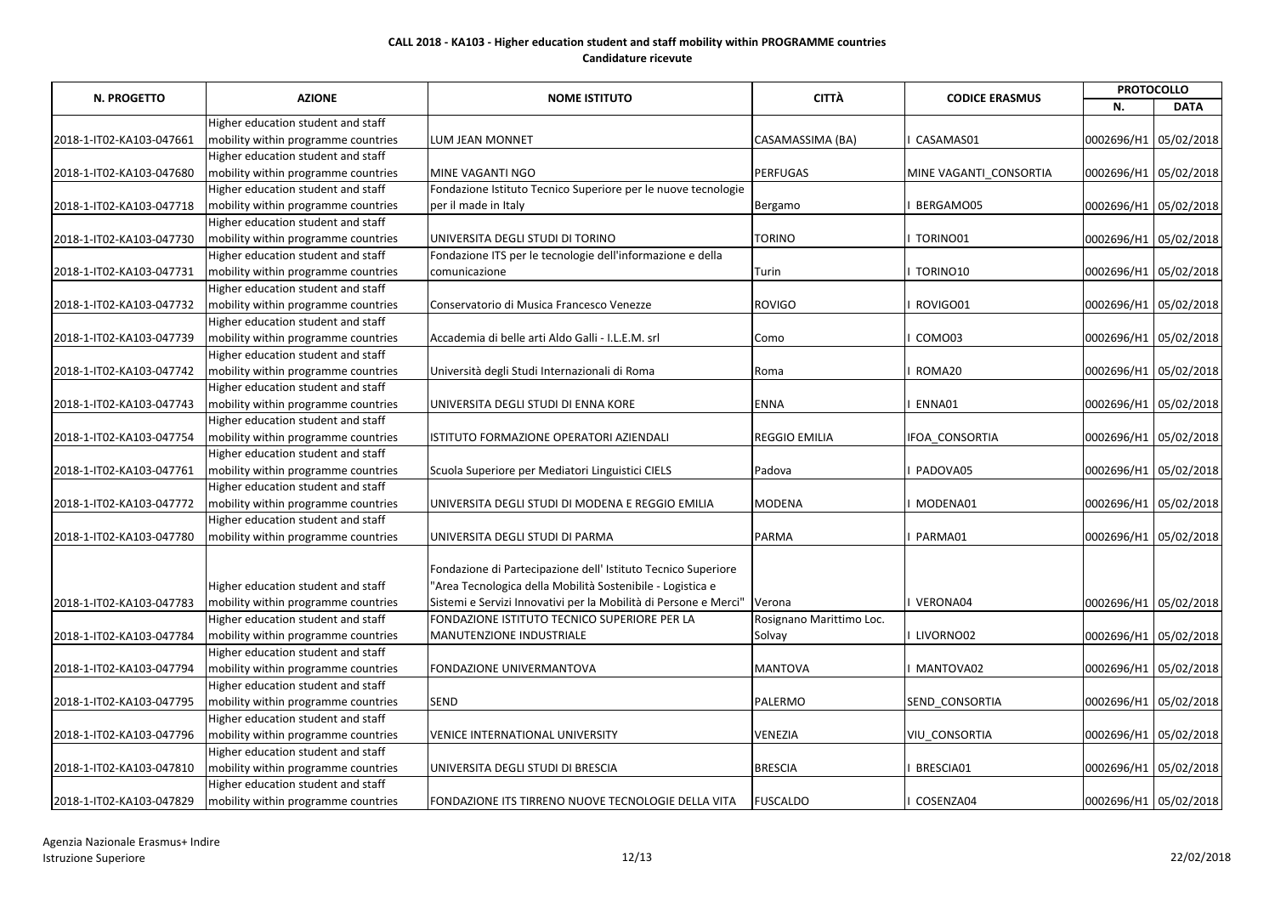|                          | <b>AZIONE</b>                       |                                                                  | <b>CITTÀ</b>             |                        |                       | <b>PROTOCOLLO</b>     |  |
|--------------------------|-------------------------------------|------------------------------------------------------------------|--------------------------|------------------------|-----------------------|-----------------------|--|
| <b>N. PROGETTO</b>       |                                     | <b>NOME ISTITUTO</b>                                             |                          | <b>CODICE ERASMUS</b>  | N.                    | <b>DATA</b>           |  |
|                          | Higher education student and staff  |                                                                  |                          |                        |                       |                       |  |
| 2018-1-IT02-KA103-047661 | mobility within programme countries | <b>LUM JEAN MONNET</b>                                           | CASAMASSIMA (BA)         | CASAMAS01              |                       | 0002696/H1 05/02/2018 |  |
|                          | Higher education student and staff  |                                                                  |                          |                        |                       |                       |  |
| 2018-1-IT02-KA103-047680 | mobility within programme countries | MINE VAGANTI NGO                                                 | <b>PERFUGAS</b>          | MINE VAGANTI CONSORTIA |                       | 0002696/H1 05/02/2018 |  |
|                          | Higher education student and staff  | Fondazione Istituto Tecnico Superiore per le nuove tecnologie    |                          |                        |                       |                       |  |
| 2018-1-IT02-KA103-047718 | mobility within programme countries | per il made in Italy                                             | Bergamo                  | BERGAMO05              | 0002696/H1 05/02/2018 |                       |  |
|                          | Higher education student and staff  |                                                                  |                          |                        |                       |                       |  |
| 2018-1-IT02-KA103-047730 | mobility within programme countries | UNIVERSITA DEGLI STUDI DI TORINO                                 | <b>TORINO</b>            | TORINO01               | 0002696/H1 05/02/2018 |                       |  |
|                          | Higher education student and staff  | Fondazione ITS per le tecnologie dell'informazione e della       |                          |                        |                       |                       |  |
| 2018-1-IT02-KA103-047731 | mobility within programme countries | comunicazione                                                    | Turin                    | TORINO10               | 0002696/H1 05/02/2018 |                       |  |
|                          | Higher education student and staff  |                                                                  |                          |                        |                       |                       |  |
| 2018-1-IT02-KA103-047732 | mobility within programme countries | Conservatorio di Musica Francesco Venezze                        | <b>ROVIGO</b>            | ROVIGO01               | 0002696/H1 05/02/2018 |                       |  |
|                          | Higher education student and staff  |                                                                  |                          |                        |                       |                       |  |
| 2018-1-IT02-KA103-047739 | mobility within programme countries | Accademia di belle arti Aldo Galli - I.L.E.M. srl                | Como                     | COMO03                 | 0002696/H1 05/02/2018 |                       |  |
|                          | Higher education student and staff  |                                                                  |                          |                        |                       |                       |  |
| 2018-1-IT02-KA103-047742 | mobility within programme countries | Università degli Studi Internazionali di Roma                    | Roma                     | ROMA20                 |                       | 0002696/H1 05/02/2018 |  |
|                          | Higher education student and staff  |                                                                  |                          |                        |                       |                       |  |
| 2018-1-IT02-KA103-047743 | mobility within programme countries | UNIVERSITA DEGLI STUDI DI ENNA KORE                              | <b>ENNA</b>              | ENNA01                 | 0002696/H1 05/02/2018 |                       |  |
|                          | Higher education student and staff  |                                                                  |                          |                        |                       |                       |  |
| 2018-1-IT02-KA103-047754 | mobility within programme countries | ISTITUTO FORMAZIONE OPERATORI AZIENDALI                          | <b>REGGIO EMILIA</b>     | IFOA_CONSORTIA         | 0002696/H1 05/02/2018 |                       |  |
|                          | Higher education student and staff  |                                                                  |                          |                        |                       |                       |  |
| 2018-1-IT02-KA103-047761 | mobility within programme countries | Scuola Superiore per Mediatori Linguistici CIELS                 | Padova                   | PADOVA05               | 0002696/H1 05/02/2018 |                       |  |
|                          | Higher education student and staff  |                                                                  |                          |                        |                       |                       |  |
| 2018-1-IT02-KA103-047772 | mobility within programme countries | UNIVERSITA DEGLI STUDI DI MODENA E REGGIO EMILIA                 | <b>MODENA</b>            | MODENA01               |                       | 0002696/H1 05/02/2018 |  |
|                          | Higher education student and staff  |                                                                  |                          |                        |                       |                       |  |
| 2018-1-IT02-KA103-047780 | mobility within programme countries | UNIVERSITA DEGLI STUDI DI PARMA                                  | <b>PARMA</b>             | PARMA01                |                       | 0002696/H1 05/02/2018 |  |
|                          |                                     |                                                                  |                          |                        |                       |                       |  |
|                          |                                     | Fondazione di Partecipazione dell' Istituto Tecnico Superiore    |                          |                        |                       |                       |  |
|                          | Higher education student and staff  | 'Area Tecnologica della Mobilità Sostenibile - Logistica e       |                          |                        |                       |                       |  |
| 2018-1-IT02-KA103-047783 | mobility within programme countries | Sistemi e Servizi Innovativi per la Mobilità di Persone e Merci" | Verona                   | VERONA04               |                       | 0002696/H1 05/02/2018 |  |
|                          | Higher education student and staff  | FONDAZIONE ISTITUTO TECNICO SUPERIORE PER LA                     | Rosignano Marittimo Loc. |                        |                       |                       |  |
| 2018-1-IT02-KA103-047784 | mobility within programme countries | MANUTENZIONE INDUSTRIALE                                         | Solvay                   | LIVORNO02              |                       | 0002696/H1 05/02/2018 |  |
|                          | Higher education student and staff  |                                                                  |                          |                        |                       |                       |  |
| 2018-1-IT02-KA103-047794 | mobility within programme countries | <b>FONDAZIONE UNIVERMANTOVA</b>                                  | <b>MANTOVA</b>           | MANTOVA02              |                       | 0002696/H1 05/02/2018 |  |
|                          | Higher education student and staff  |                                                                  |                          |                        |                       |                       |  |
| 2018-1-IT02-KA103-047795 | mobility within programme countries | SEND                                                             | PALERMO                  | SEND_CONSORTIA         | 0002696/H1 05/02/2018 |                       |  |
|                          | Higher education student and staff  |                                                                  |                          |                        |                       |                       |  |
| 2018-1-IT02-KA103-047796 | mobility within programme countries | <b>VENICE INTERNATIONAL UNIVERSITY</b>                           | <b>VENEZIA</b>           | <b>VIU CONSORTIA</b>   |                       | 0002696/H1 05/02/2018 |  |
|                          | Higher education student and staff  |                                                                  |                          |                        |                       |                       |  |
| 2018-1-IT02-KA103-047810 | mobility within programme countries | UNIVERSITA DEGLI STUDI DI BRESCIA                                | <b>BRESCIA</b>           | BRESCIA01              |                       | 0002696/H1 05/02/2018 |  |
|                          | Higher education student and staff  |                                                                  |                          |                        |                       |                       |  |
| 2018-1-IT02-KA103-047829 | mobility within programme countries | FONDAZIONE ITS TIRRENO NUOVE TECNOLOGIE DELLA VITA               | <b>FUSCALDO</b>          | COSENZA04              |                       | 0002696/H1 05/02/2018 |  |